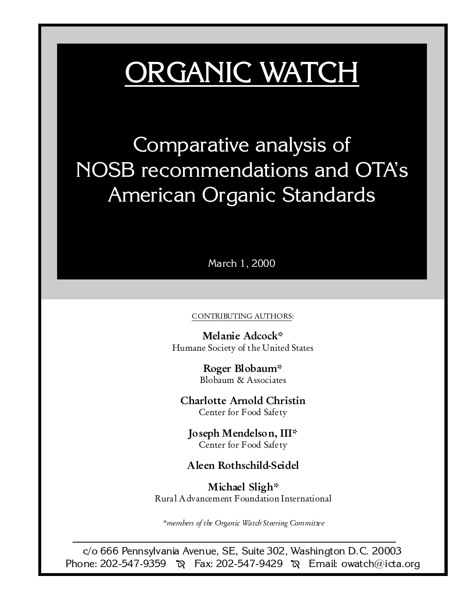# ORGANIC WATCH

Comparative analysis of NOSB recommendations and OTAs American Organic Standards

March 1, 2000

#### CONTRIBUTING AUTHORS:

Melanie Adcock\* Humane Society of the United States

> Roger Blobaum\* Blobaum & Associates

Charlotte Arnold Christin Center for Food Safe ty

Joseph Mendelson, III\* Center for Food Safe ty

# Aleen Rothschild-Seidel

Michael Sligh\* Rural Advancement Foundation International

\*members of the Organic Watch Steering Committee

c/o 666 Pennsylvania Avenue, SE, Suite 302, Washington D.C. 20003 Phone: 202-547-9359  $\aleph$  Fax: 202-547-9429  $\aleph$  Email: owatch@icta.org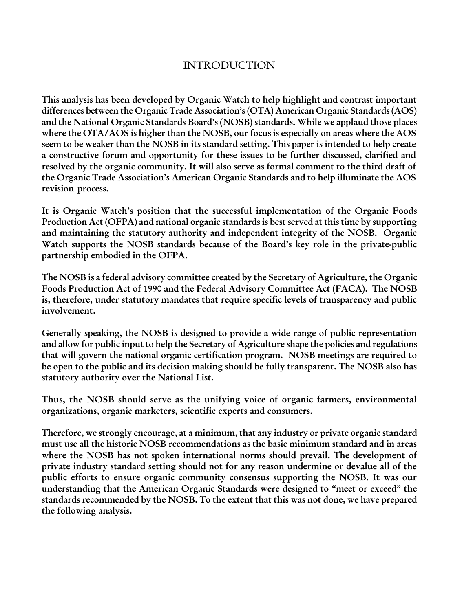# INTRODUCTION

This analysis has been developed by Organic Watch to help highlight and contrast important differences between the Organic Trade Association's (OTA) American Organic Standards (AOS) and the National Organic Standards Board's (NOSB) standards. While we applaud those places where the OTA/AOS is higher than the NOSB, our focus is especially on areas where the AOS seem to be weaker than the NOSB in its standard setting. This paper is intended to help create a constructive forum and opportunity for these issues to be further discussed, clarified and resolved by the organic community. It will also serve as formal comment to the third draft of the Organic Trade Association's American Organic Standards and to help illuminate the AOS revision process.

It is Organic Watch's position that the successful implementation of the Organic Foods Production Act (OFPA) and national organic standards is best served at this time by supporting and maintaining the statutory authority and independent integrity of the NOSB. Organic Watch supports the NOSB standards because of the Board's key role in the private-public partnership embodied in the OFPA.

The NOSB is a federal advisory committee created by the Secretary of Agriculture, the Organic Foods Production Act of 1990 and the Federal Advisory Committee Act (FACA). The NOSB is, therefore, under statutory mandates that require specific levels of transparency and public involvement.

Generally speaking, the NOSB is designed to provide a wide range of public representation and allow for public input to help the Secretary of Agriculture shape the policies and regulations that will govern the national organic certification program. NOSB meetings are required to be open to the public and its decision making should be fully transparent. The NOSB also has statutory authority over the National List.

Thus, the NOSB should serve as the unifying voice of organic farmers, environmental organizations, organic marketers, scientific experts and consumers.

Therefore, we strongly encourage, at a minimum, that any industry or private organic standard must use all the historic NOSB recommendations as the basic minimum standard and in areas where the NOSB has not spoken international norms should prevail. The development of private industry standard setting should not for any reason undermine or devalue all of the public efforts to ensure organic community consensus supporting the NOSB. It was our understanding that the American Organic Standards were designed to "meet or exceed" the standards recommended by the NOSB. To the extent that this was not done, we have prepared the following analysis.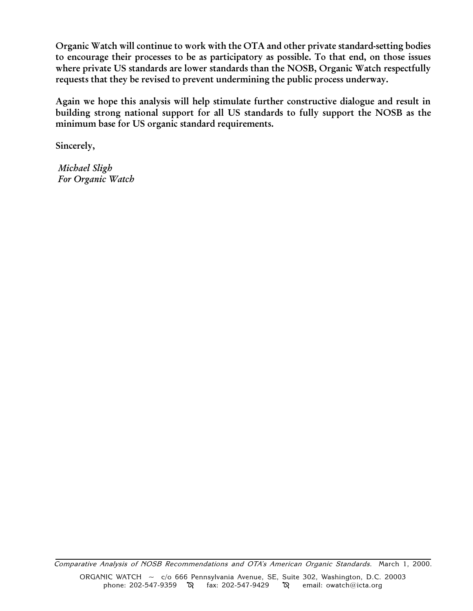Organic Watch will continue to work with the OTA and other private standard-setting bodies to encourage their processes to be as participatory as possible. To that end, on those issues where private US standards are lower standards than the NOSB, Organic Watch respectfully requests that they be revised to prevent undermining the public process underway.

Again we hope this analysis will help stimulate further constructive dialogue and result in building strong national support for all US standards to fully support the NOSB as the minimum base for US organic standard requirements.

Sincerely,

 Michael Sligh For Organic Watch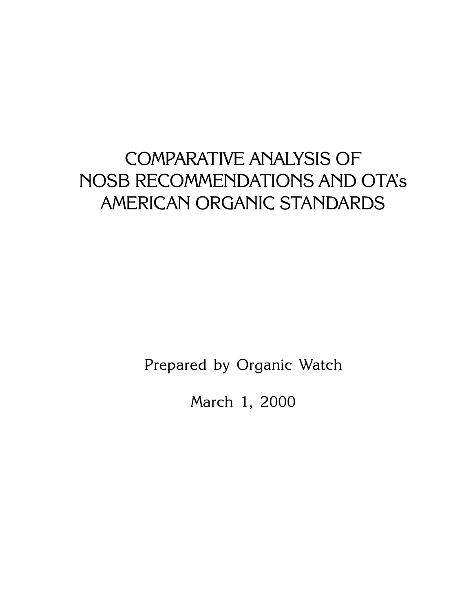# COMPARATIVE ANALYSIS OF NOSB RECOMMENDATIONS AND OTAs AMERICAN ORGANIC STANDARDS

Prepared by Organic Watch

March 1, 2000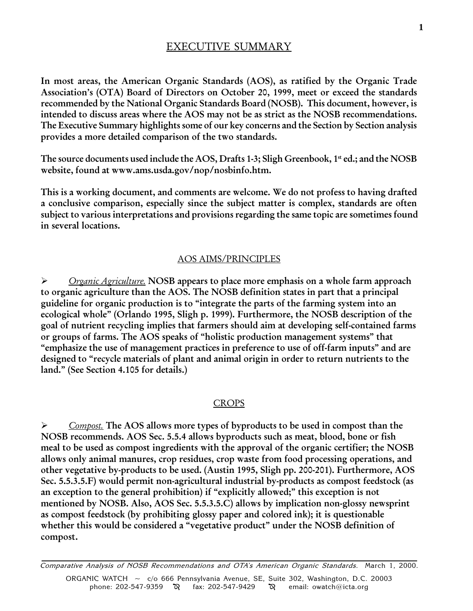# EXECUTIVE SUMMARY

In most areas, the American Organic Standards (AOS), as ratified by the Organic Trade Association's (OTA) Board of Directors on October 20, 1999, meet or exceed the standards recommended by the National Organic Standards Board (NOSB). This document, however, is intended to discuss areas where the AOS may not be as strict as the NOSB recommendations. The Executive Summary highlights some of our key concerns and the Section by Section analysis provides a more detailed comparison of the two standards.

The source documents used include the AOS, Drafts 1-3; Sligh Greenbook, 1<sup>st</sup> ed.; and the NOSB website, found at www.ams.usda.gov/nop/nosbinfo.htm.

This is a working document, and comments are welcome. We do not profess to having drafted a conclusive comparison, especially since the subject matter is complex, standards are often subject to various interpretations and provisions regarding the same topic are sometimes found in several locations.

#### AOS AIMS/PRINCIPLES

 $\triangleright$  Organic Agriculture. NOSB appears to place more emphasis on a whole farm approach to organic agriculture than the AOS. The NOSB definition states in part that a principal guideline for organic production is to "integrate the parts of the farming system into an ecological whole" (Orlando 1995, Sligh p. 1999). Furthermore, the NOSB description of the goal of nutrient recycling implies that farmers should aim at developing self-contained farms or groups of farms. The AOS speaks of "holistic production management systems" that "emphasize the use of management practices in preference to use of off-farm inputs" and are designed to "recycle materials of plant and animal origin in order to return nutrients to the land." (See Section 4.105 for details.)

#### **CROPS**

 $\triangleright$  Compost. The AOS allows more types of byproducts to be used in compost than the NOSB recommends. AOS Sec. 5.5.4 allows byproducts such as meat, blood, bone or fish meal to be used as compost ingredients with the approval of the organic certifier; the NOSB allows only animal manures, crop residues, crop waste from food processing operations, and other vegetative by-products to be used. (Austin 1995, Sligh pp. 200-201). Furthermore, AOS Sec. 5.5.3.5.F) would permit non-agricultural industrial by-products as compost feedstock (as an exception to the general prohibition) if "explicitly allowed;" this exception is not mentioned by NOSB. Also, AOS Sec. 5.5.3.5.C) allows by implication non-glossy newsprint as compost feedstock (by prohibiting glossy paper and colored ink); it is questionable whether this would be considered a "vegetative product" under the NOSB definition of compost.

Comparative Analysis of NOSB Recommendations and OTA's American Organic Standards. March 1, 2000. ORGANIC WATCH ~ c/o 666 Pennsylvania Avenue, SE, Suite 302, Washington, D.C. 20003 phone: 202-547-9359  $\sqrt{Q}$  fax: 202-547-9429  $\sqrt{Q}$  email: owatch@icta.org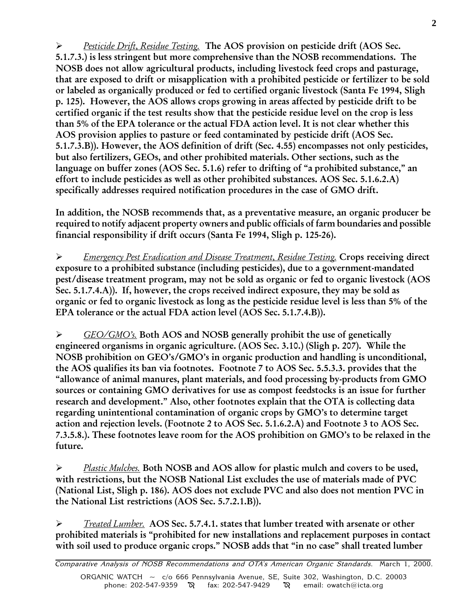Pesticide Drift, Residue Testing. The AOS provision on pesticide drift (AOS Sec. 5.1.7.3.) is less stringent but more comprehensive than the NOSB recommendations. The NOSB does not allow agricultural products, including livestock feed crops and pasturage, that are exposed to drift or misapplication with a prohibited pesticide or fertilizer to be sold or labeled as organically produced or fed to certified organic livestock (Santa Fe 1994, Sligh p. 125). However, the AOS allows crops growing in areas affected by pesticide drift to be certified organic if the test results show that the pesticide residue level on the crop is less than 5% of the EPA tolerance or the actual FDA action level. It is not clear whether this AOS provision applies to pasture or feed contaminated by pesticide drift (AOS Sec. 5.1.7.3.B)). However, the AOS definition of drift (Sec. 4.55) encompasses not only pesticides, but also fertilizers, GEOs, and other prohibited materials. Other sections, such as the language on buffer zones (AOS Sec. 5.1.6) refer to drifting of "a prohibited substance," an effort to include pesticides as well as other prohibited substances. AOS Sec. 5.1.6.2.A) specifically addresses required notification procedures in the case of GMO drift.

In addition, the NOSB recommends that, as a preventative measure, an organic producer be required to notify adjacent property owners and public officials of farm boundaries and possible financial responsibility if drift occurs (Santa Fe 1994, Sligh p. 125-26).

 $\triangleright$  Emergency Pest Eradication and Disease Treatment, Residue Testing. Crops receiving direct exposure to a prohibited substance (including pesticides), due to a government-mandated pest/disease treatment program, may not be sold as organic or fed to organic livestock (AOS Sec. 5.1.7.4.A)). If, however, the crops received indirect exposure, they may be sold as organic or fed to organic livestock as long as the pesticide residue level is less than 5% of the EPA tolerance or the actual FDA action level (AOS Sec. 5.1.7.4.B)).

 $\triangleright$  GEO/GMO's. Both AOS and NOSB generally prohibit the use of genetically engineered organisms in organic agriculture. (AOS Sec. 3.10.) (Sligh p. 207). While the NOSB prohibition on GEO's/GMO's in organic production and handling is unconditional, the AOS qualifies its ban via footnotes. Footnote 7 to AOS Sec. 5.5.3.3. provides that the allowance of animal manures, plant materials, and food processing by-products from GMO sources or containing GMO derivatives for use as compost feedstocks is an issue for further research and development." Also, other footnotes explain that the OTA is collecting data regarding unintentional contamination of organic crops by GMO's to determine target action and rejection levels. (Footnote 2 to AOS Sec. 5.1.6.2.A) and Footnote 3 to AOS Sec. 7.3.5.8.). These footnotes leave room for the AOS prohibition on GMO's to be relaxed in the future.

 $\triangleright$  Plastic Mulches. Both NOSB and AOS allow for plastic mulch and covers to be used, with restrictions, but the NOSB National List excludes the use of materials made of PVC (National List, Sligh p. 186). AOS does not exclude PVC and also does not mention PVC in the National List restrictions (AOS Sec. 5.7.2.1.B)).

 $\triangleright$  Treated Lumber. AOS Sec. 5.7.4.1. states that lumber treated with arsenate or other prohibited materials is "prohibited for new installations and replacement purposes in contact with soil used to produce organic crops." NOSB adds that "in no case" shall treated lumber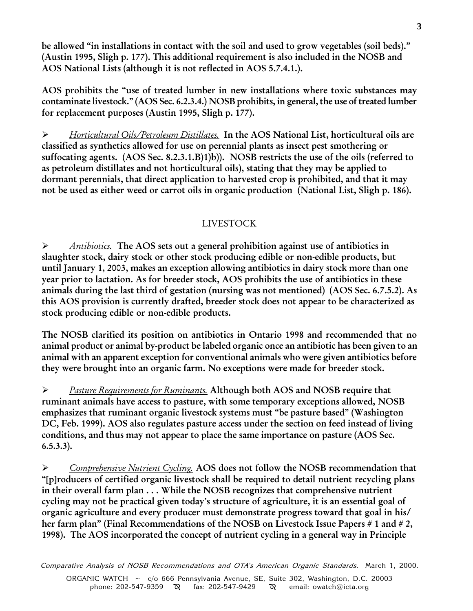be allowed "in installations in contact with the soil and used to grow vegetables (soil beds)." (Austin 1995, Sligh p. 177). This additional requirement is also included in the NOSB and AOS National Lists (although it is not reflected in AOS 5.7.4.1.).

AOS prohibits the "use of treated lumber in new installations where toxic substances may contaminate livestock. (AOS Sec. 6.2.3.4.) NOSB prohibits, in general, the use of treated lumber for replacement purposes (Austin 1995, Sligh p. 177).

 $\triangleright$  Horticultural Oils/Petroleum Distillates. In the AOS National List, horticultural oils are classified as synthetics allowed for use on perennial plants as insect pest smothering or suffocating agents. (AOS Sec. 8.2.3.1.B)1)b)). NOSB restricts the use of the oils (referred to as petroleum distillates and not horticultural oils), stating that they may be applied to dormant perennials, that direct application to harvested crop is prohibited, and that it may not be used as either weed or carrot oils in organic production (National List, Sligh p. 186).

# LIVESTOCK

 $\triangleright$  Antibiotics. The AOS sets out a general prohibition against use of antibiotics in slaughter stock, dairy stock or other stock producing edible or non-edible products, but until January 1, 2003, makes an exception allowing antibiotics in dairy stock more than one year prior to lactation. As for breeder stock, AOS prohibits the use of antibiotics in these animals during the last third of gestation (nursing was not mentioned) (AOS Sec. 6.7.5.2). As this AOS provision is currently drafted, breeder stock does not appear to be characterized as stock producing edible or non-edible products.

The NOSB clarified its position on antibiotics in Ontario 1998 and recommended that no animal product or animal by-product be labeled organic once an antibiotic has been given to an animal with an apparent exception for conventional animals who were given antibiotics before they were brought into an organic farm. No exceptions were made for breeder stock.

**E** Pasture Requirements for Ruminants. Although both AOS and NOSB require that ruminant animals have access to pasture, with some temporary exceptions allowed, NOSB emphasizes that ruminant organic livestock systems must "be pasture based" (Washington DC, Feb. 1999). AOS also regulates pasture access under the section on feed instead of living conditions, and thus may not appear to place the same importance on pasture (AOS Sec. 6.5.3.3).

 $\triangleright$  Comprehensive Nutrient Cycling. AOS does not follow the NOSB recommendation that [p]roducers of certified organic livestock shall be required to detail nutrient recycling plans in their overall farm plan . . . While the NOSB recognizes that comprehensive nutrient cycling may not be practical given today's structure of agriculture, it is an essential goal of organic agriculture and every producer must demonstrate progress toward that goal in his/ her farm plan" (Final Recommendations of the NOSB on Livestock Issue Papers # 1 and # 2, 1998). The AOS incorporated the concept of nutrient cycling in a general way in Principle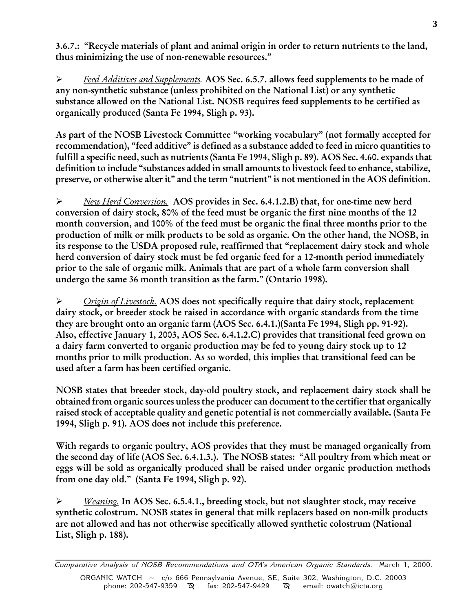3.6.7.: Recycle materials of plant and animal origin in order to return nutrients to the land, thus minimizing the use of non-renewable resources.

▶ Feed Additives and Supplements. AOS Sec. 6.5.7. allows feed supplements to be made of any non-synthetic substance (unless prohibited on the National List) or any synthetic substance allowed on the National List. NOSB requires feed supplements to be certified as organically produced (Santa Fe 1994, Sligh p. 93).

As part of the NOSB Livestock Committee "working vocabulary" (not formally accepted for recommendation), "feed additive" is defined as a substance added to feed in micro quantities to fulfill a specific need, such as nutrients (Santa Fe 1994, Sligh p. 89). AOS Sec. 4.60. expands that definition to include "substances added in small amounts to livestock feed to enhance, stabilize, preserve, or otherwise alter it" and the term "nutrient" is not mentioned in the AOS definition.

 $\triangleright$  New Herd Conversion. AOS provides in Sec. 6.4.1.2.B) that, for one-time new herd conversion of dairy stock, 80% of the feed must be organic the first nine months of the 12 month conversion, and 100% of the feed must be organic the final three months prior to the production of milk or milk products to be sold as organic. On the other hand, the NOSB, in its response to the USDA proposed rule, reaffirmed that "replacement dairy stock and whole herd conversion of dairy stock must be fed organic feed for a 12-month period immediately prior to the sale of organic milk. Animals that are part of a whole farm conversion shall undergo the same 36 month transition as the farm." (Ontario 1998).

 $\triangleright$  Origin of Livestock. AOS does not specifically require that dairy stock, replacement dairy stock, or breeder stock be raised in accordance with organic standards from the time they are brought onto an organic farm (AOS Sec. 6.4.1.)(Santa Fe 1994, Sligh pp. 91-92). Also, effective January 1, 2003, AOS Sec. 6.4.1.2.C) provides that transitional feed grown on a dairy farm converted to organic production may be fed to young dairy stock up to 12 months prior to milk production. As so worded, this implies that transitional feed can be used after a farm has been certified organic.

NOSB states that breeder stock, day-old poultry stock, and replacement dairy stock shall be obtained from organic sources unless the producer can document to the certifier that organically raised stock of acceptable quality and genetic potential is not commercially available. (Santa Fe 1994, Sligh p. 91). AOS does not include this preference.

With regards to organic poultry, AOS provides that they must be managed organically from the second day of life (AOS Sec. 6.4.1.3.). The NOSB states: "All poultry from which meat or eggs will be sold as organically produced shall be raised under organic production methods from one day old." (Santa Fe 1994, Sligh p. 92).

 $\triangleright$  Weaning. In AOS Sec. 6.5.4.1., breeding stock, but not slaughter stock, may receive synthetic colostrum. NOSB states in general that milk replacers based on non-milk products are not allowed and has not otherwise specifically allowed synthetic colostrum (National List, Sligh p. 188).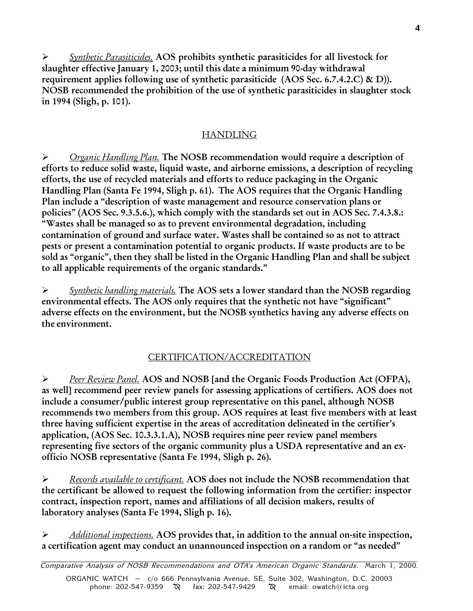$\triangleright$  Synthetic Parasiticides. AOS prohibits synthetic parasiticides for all livestock for slaughter effective January 1, 2003; until this date a minimum 90-day withdrawal requirement applies following use of synthetic parasiticide (AOS Sec. 6.7.4.2.C) & D)). NOSB recommended the prohibition of the use of synthetic parasiticides in slaughter stock in 1994 (Sligh, p. 101).

# HANDLING

 $\triangleright$  Organic Handling Plan. The NOSB recommendation would require a description of efforts to reduce solid waste, liquid waste, and airborne emissions, a description of recycling efforts, the use of recycled materials and efforts to reduce packaging in the Organic Handling Plan (Santa Fe 1994, Sligh p. 61). The AOS requires that the Organic Handling Plan include a "description of waste management and resource conservation plans or policies" (AOS Sec. 9.3.5.6.), which comply with the standards set out in AOS Sec. 7.4.3.8.: Wastes shall be managed so as to prevent environmental degradation, including contamination of ground and surface water. Wastes shall be contained so as not to attract pests or present a contamination potential to organic products. If waste products are to be sold as "organic", then they shall be listed in the Organic Handling Plan and shall be subject to all applicable requirements of the organic standards.

 $\triangleright$  Synthetic handling materials. The AOS sets a lower standard than the NOSB regarding environmental effects. The AOS only requires that the synthetic not have "significant" adverse effects on the environment, but the NOSB synthetics having any adverse effects on the environment.

# CERTIFICATION/ACCREDITATION

 $\triangleright$  Peer Review Panel. AOS and NOSB [and the Organic Foods Production Act (OFPA), as well] recommend peer review panels for assessing applications of certifiers. AOS does not include a consumer/public interest group representative on this panel, although NOSB recommends two members from this group. AOS requires at least five members with at least three having sufficient expertise in the areas of accreditation delineated in the certifier's application, (AOS Sec. 10.3.3.1.A), NOSB requires nine peer review panel members representing five sectors of the organic community plus a USDA representative and an exofficio NOSB representative (Santa Fe 1994, Sligh p. 26).

 $\triangleright$  Records available to certificant. AOS does not include the NOSB recommendation that the certificant be allowed to request the following information from the certifier: inspector contract, inspection report, names and affiliations of all decision makers, results of laboratory analyses (Santa Fe 1994, Sligh p. 16).

Additional inspections. AOS provides that, in addition to the annual on-site inspection, a certification agent may conduct an unannounced inspection on a random or "as needed"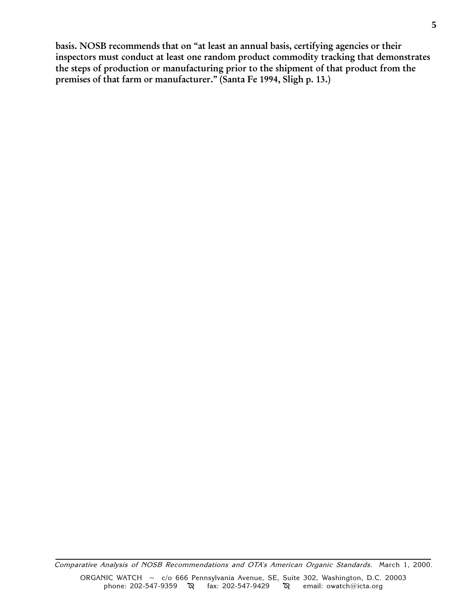basis. NOSB recommends that on "at least an annual basis, certifying agencies or their inspectors must conduct at least one random product commodity tracking that demonstrates the steps of production or manufacturing prior to the shipment of that product from the premises of that farm or manufacturer." (Santa Fe 1994, Sligh p. 13.)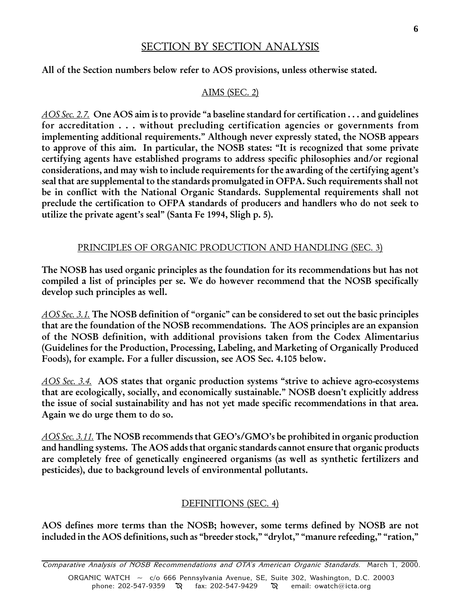## SECTION BY SECTION ANALYSIS

All of the Section numbers below refer to AOS provisions, unless otherwise stated.

#### AIMS (SEC. 2)

 $AOS$  Sec. 2.7. One AOS aim is to provide "a baseline standard for certification . . . and guidelines for accreditation . . . without precluding certification agencies or governments from implementing additional requirements." Although never expressly stated, the NOSB appears to approve of this aim. In particular, the NOSB states: "It is recognized that some private certifying agents have established programs to address specific philosophies and/or regional considerations, and may wish to include requirements for the awarding of the certifying agent's seal that are supplemental to the standards promulgated in OFPA. Such requirements shall not be in conflict with the National Organic Standards. Supplemental requirements shall not preclude the certification to OFPA standards of producers and handlers who do not seek to utilize the private agent's seal" (Santa Fe 1994, Sligh p. 5).

#### PRINCIPLES OF ORGANIC PRODUCTION AND HANDLING (SEC. 3)

The NOSB has used organic principles as the foundation for its recommendations but has not compiled a list of principles per se. We do however recommend that the NOSB specifically develop such principles as well.

 $AOS$  Sec. 3.1. The NOSB definition of "organic" can be considered to set out the basic principles that are the foundation of the NOSB recommendations. The AOS principles are an expansion of the NOSB definition, with additional provisions taken from the Codex Alimentarius (Guidelines for the Production, Processing, Labeling, and Marketing of Organically Produced Foods), for example. For a fuller discussion, see AOS Sec. 4.105 below.

 $AOS$  Sec. 3.4. AOS states that organic production systems "strive to achieve agro-ecosystems" that are ecologically, socially, and economically sustainable." NOSB doesn't explicitly address the issue of social sustainability and has not yet made specific recommendations in that area. Again we do urge them to do so.

AOS Sec. 3.11. The NOSB recommends that GEO's/GMO's be prohibited in organic production and handling systems. The AOS adds that organic standards cannot ensure that organic products are completely free of genetically engineered organisms (as well as synthetic fertilizers and pesticides), due to background levels of environmental pollutants.

#### DEFINITIONS (SEC. 4)

AOS defines more terms than the NOSB; however, some terms defined by NOSB are not included in the AOS definitions, such as "breeder stock," "drylot," "manure refeeding," "ration,"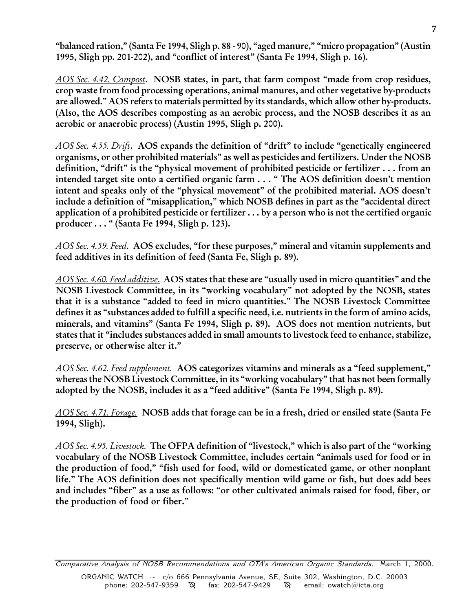"balanced ration," (Santa Fe 1994, Sligh p. 88 - 90), "aged manure," "micro propagation" (Austin 1995, Sligh pp. 201-202), and "conflict of interest" (Santa Fe 1994, Sligh p. 16).

AOS Sec. 4.42. Compost. NOSB states, in part, that farm compost "made from crop residues, crop waste from food processing operations, animal manures, and other vegetative by-products are allowed." AOS refers to materials permitted by its standards, which allow other by-products. (Also, the AOS describes composting as an aerobic process, and the NOSB describes it as an aerobic or anaerobic process) (Austin 1995, Sligh p. 200).

 $AOS$  Sec. 4.55. Drift. AOS expands the definition of "drift" to include "genetically engineered organisms, or other prohibited materials" as well as pesticides and fertilizers. Under the NOSB definition, "drift" is the "physical movement of prohibited pesticide or fertilizer  $\dots$  from an intended target site onto a certified organic farm  $\dots$  "The AOS definition doesn't mention intent and speaks only of the "physical movement" of the prohibited material. AOS doesn't include a definition of "misapplication," which NOSB defines in part as the "accidental direct application of a prohibited pesticide or fertilizer . . . by a person who is not the certified organic producer . . . (Santa Fe 1994, Sligh p. 123).

AOS Sec. 4.59. Feed. AOS excludes, "for these purposes," mineral and vitamin supplements and feed additives in its definition of feed (Santa Fe, Sligh p. 89).

AOS Sec. 4.60. Feed additive. AOS states that these are "usually used in micro quantities" and the NOSB Livestock Committee, in its "working vocabulary" not adopted by the NOSB, states that it is a substance "added to feed in micro quantities." The NOSB Livestock Committee defines it as "substances added to fulfill a specific need, i.e. nutrients in the form of amino acids, minerals, and vitamins" (Santa Fe 1994, Sligh p. 89). AOS does not mention nutrients, but states that it "includes substances added in small amounts to livestock feed to enhance, stabilize, preserve, or otherwise alter it.

AOS Sec. 4.62. Feed supplement. AOS categorizes vitamins and minerals as a "feed supplement," whereas the NOSB Livestock Committee, in its "working vocabulary" that has not been formally adopted by the NOSB, includes it as a "feed additive" (Santa Fe 1994, Sligh p. 89).

AOS Sec. 4.71. Forage. NOSB adds that forage can be in a fresh, dried or ensiled state (Santa Fe 1994, Sligh).

AOS Sec. 4.95. Livestock. The OFPA definition of "livestock," which is also part of the "working" vocabulary of the NOSB Livestock Committee, includes certain "animals used for food or in the production of food," "fish used for food, wild or domesticated game, or other nonplant life." The AOS definition does not specifically mention wild game or fish, but does add bees and includes "fiber" as a use as follows: "or other cultivated animals raised for food, fiber, or the production of food or fiber.

Comparative Analysis of NOSB Recommendations and OTA's American Organic Standards. March 1, 2000. ORGANIC WATCH ~ c/o 666 Pennsylvania Avenue, SE, Suite 302, Washington, D.C. 20003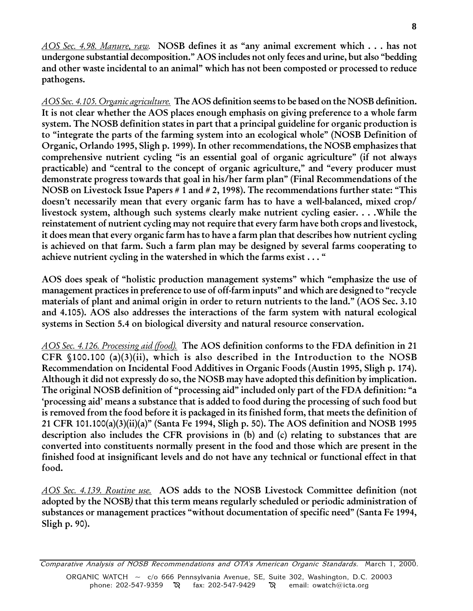AOS Sec. 4.98. Manure, raw. NOSB defines it as "any animal excrement which . . . has not undergone substantial decomposition." AOS includes not only feces and urine, but also "bedding and other waste incidental to an animal" which has not been composted or processed to reduce pathogens.

AOS Sec. 4.105. Organic agriculture. The AOS definition seems to be based on the NOSB definition. It is not clear whether the AOS places enough emphasis on giving preference to a whole farm system. The NOSB definition states in part that a principal guideline for organic production is to "integrate the parts of the farming system into an ecological whole" (NOSB Definition of Organic, Orlando 1995, Sligh p. 1999). In other recommendations, the NOSB emphasizes that comprehensive nutrient cycling "is an essential goal of organic agriculture" (if not always practicable) and "central to the concept of organic agriculture," and "every producer must demonstrate progress towards that goal in his/her farm plan" (Final Recommendations of the NOSB on Livestock Issue Papers # 1 and # 2, 1998). The recommendations further state: "This doesn't necessarily mean that every organic farm has to have a well-balanced, mixed crop/ livestock system, although such systems clearly make nutrient cycling easier. . . .While the reinstatement of nutrient cycling may not require that every farm have both crops and livestock, it does mean that every organic farm has to have a farm plan that describes how nutrient cycling is achieved on that farm. Such a farm plan may be designed by several farms cooperating to achieve nutrient cycling in the watershed in which the farms exist . . . "

AOS does speak of "holistic production management systems" which "emphasize the use of management practices in preference to use of off-farm inputs" and which are designed to "recycle materials of plant and animal origin in order to return nutrients to the land." (AOS Sec. 3.10 and 4.105). AOS also addresses the interactions of the farm system with natural ecological systems in Section 5.4 on biological diversity and natural resource conservation.

AOS Sec. 4.126. Processing aid (food). The AOS definition conforms to the FDA definition in 21 CFR  $$100.100$  (a)(3)(ii), which is also described in the Introduction to the NOSB Recommendation on Incidental Food Additives in Organic Foods (Austin 1995, Sligh p. 174). Although it did not expressly do so, the NOSB may have adopted this definition by implication. The original NOSB definition of "processing aid" included only part of the FDA definition: "a processing aid' means a substance that is added to food during the processing of such food but is removed from the food before it is packaged in its finished form, that meets the definition of 21 CFR 101.100(a)(3)(ii)(a)" (Santa Fe 1994, Sligh p. 50). The AOS definition and NOSB 1995 description also includes the CFR provisions in (b) and (c) relating to substances that are converted into constituents normally present in the food and those which are present in the finished food at insignificant levels and do not have any technical or functional effect in that food.

AOS Sec. 4.139. Routine use. AOS adds to the NOSB Livestock Committee definition (not adopted by the NOSB) that this term means regularly scheduled or periodic administration of substances or management practices "without documentation of specific need" (Santa Fe 1994, Sligh p. 90).

Comparative Analysis of NOSB Recommendations and OTA's American Organic Standards. March 1, 2000. ORGANIC WATCH ~ c/o 666 Pennsylvania Avenue, SE, Suite 302, Washington, D.C. 20003 phone: 202-547-9359  $\aleph$  fax: 202-547-9429  $\aleph$  email: owatch@icta.org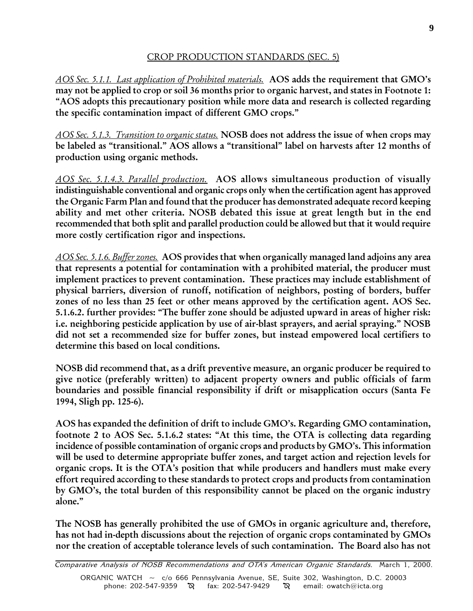# CROP PRODUCTION STANDARDS (SEC. 5)

AOS Sec. 5.1.1. Last application of Prohibited materials. AOS adds the requirement that GMO's may not be applied to crop or soil 36 months prior to organic harvest, and states in Footnote 1: AOS adopts this precautionary position while more data and research is collected regarding the specific contamination impact of different GMO crops.

AOS Sec. 5.1.3. Transition to organic status. NOSB does not address the issue of when crops may be labeled as "transitional." AOS allows a "transitional" label on harvests after 12 months of production using organic methods.

AOS Sec. 5.1.4.3. Parallel production. AOS allows simultaneous production of visually indistinguishable conventional and organic crops only when the certification agent has approved the Organic Farm Plan and found that the producer has demonstrated adequate record keeping ability and met other criteria. NOSB debated this issue at great length but in the end recommended that both split and parallel production could be allowed but that it would require more costly certification rigor and inspections.

AOS Sec. 5.1.6. Buffer zones. AOS provides that when organically managed land adjoins any area that represents a potential for contamination with a prohibited material, the producer must implement practices to prevent contamination. These practices may include establishment of physical barriers, diversion of runoff, notification of neighbors, posting of borders, buffer zones of no less than 25 feet or other means approved by the certification agent. AOS Sec. 5.1.6.2. further provides: The buffer zone should be adjusted upward in areas of higher risk: i.e. neighboring pesticide application by use of air-blast sprayers, and aerial spraying." NOSB did not set a recommended size for buffer zones, but instead empowered local certifiers to determine this based on local conditions.

NOSB did recommend that, as a drift preventive measure, an organic producer be required to give notice (preferably written) to adjacent property owners and public officials of farm boundaries and possible financial responsibility if drift or misapplication occurs (Santa Fe 1994, Sligh pp. 125-6).

AOS has expanded the definition of drift to include GMO's. Regarding GMO contamination, footnote 2 to AOS Sec. 5.1.6.2 states: "At this time, the OTA is collecting data regarding incidence of possible contamination of organic crops and products by GMO's. This information will be used to determine appropriate buffer zones, and target action and rejection levels for organic crops. It is the OTA's position that while producers and handlers must make every effort required according to these standards to protect crops and products from contamination by GMO's, the total burden of this responsibility cannot be placed on the organic industry alone.

The NOSB has generally prohibited the use of GMOs in organic agriculture and, therefore, has not had in-depth discussions about the rejection of organic crops contaminated by GMOs nor the creation of acceptable tolerance levels of such contamination. The Board also has not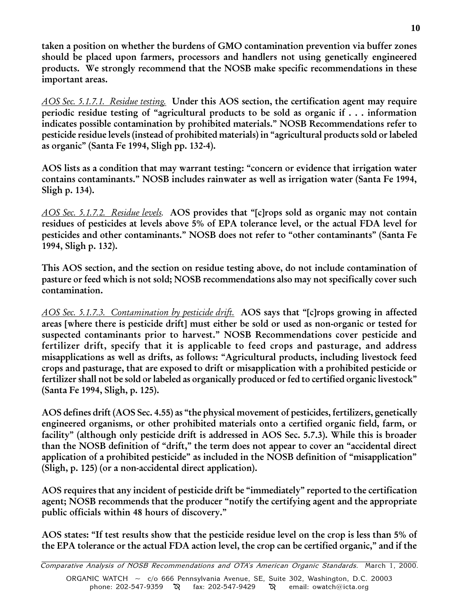taken a position on whether the burdens of GMO contamination prevention via buffer zones should be placed upon farmers, processors and handlers not using genetically engineered products. We strongly recommend that the NOSB make specific recommendations in these important areas.

AOS Sec. 5.1.7.1. Residue testing. Under this AOS section, the certification agent may require periodic residue testing of "agricultural products to be sold as organic if  $\ldots$  information indicates possible contamination by prohibited materials." NOSB Recommendations refer to pesticide residue levels (instead of prohibited materials) in "agricultural products sold or labeled as organic" (Santa Fe 1994, Sligh pp. 132-4).

AOS lists as a condition that may warrant testing: "concern or evidence that irrigation water contains contaminants." NOSB includes rainwater as well as irrigation water (Santa Fe 1994, Sligh p. 134).

AOS Sec. 5.1.7.2. Residue levels. AOS provides that "[c]rops sold as organic may not contain residues of pesticides at levels above 5% of EPA tolerance level, or the actual FDA level for pesticides and other contaminants." NOSB does not refer to "other contaminants" (Santa Fe 1994, Sligh p. 132).

This AOS section, and the section on residue testing above, do not include contamination of pasture or feed which is not sold; NOSB recommendations also may not specifically cover such contamination.

AOS Sec. 5.1.7.3. Contamination by pesticide drift. AOS says that "[c]rops growing in affected areas [where there is pesticide drift] must either be sold or used as non-organic or tested for suspected contaminants prior to harvest." NOSB Recommendations cover pesticide and fertilizer drift, specify that it is applicable to feed crops and pasturage, and address misapplications as well as drifts, as follows: "Agricultural products, including livestock feed crops and pasturage, that are exposed to drift or misapplication with a prohibited pesticide or fertilizer shall not be sold or labeled as organically produced or fed to certified organic livestock (Santa Fe 1994, Sligh, p. 125).

AOS defines drift (AOS Sec. 4.55) as "the physical movement of pesticides, fertilizers, genetically engineered organisms, or other prohibited materials onto a certified organic field, farm, or facility" (although only pesticide drift is addressed in AOS Sec. 5.7.3). While this is broader than the NOSB definition of "drift," the term does not appear to cover an "accidental direct application of a prohibited pesticide" as included in the NOSB definition of "misapplication" (Sligh, p. 125) (or a non-accidental direct application).

AOS requires that any incident of pesticide drift be "immediately" reported to the certification agent; NOSB recommends that the producer "notify the certifying agent and the appropriate public officials within 48 hours of discovery.

AOS states: "If test results show that the pesticide residue level on the crop is less than 5% of the EPA tolerance or the actual FDA action level, the crop can be certified organic," and if the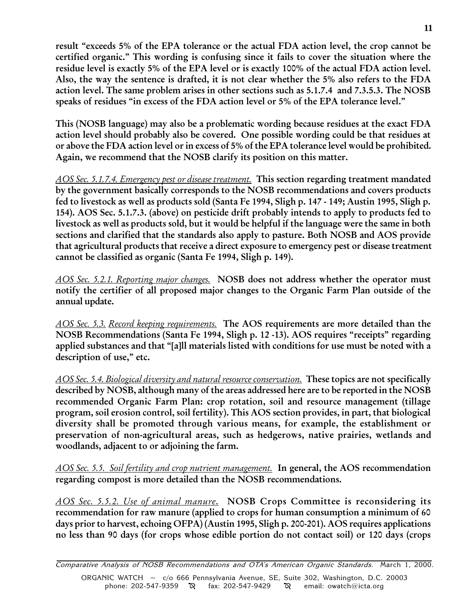result "exceeds 5% of the EPA tolerance or the actual FDA action level, the crop cannot be certified organic." This wording is confusing since it fails to cover the situation where the residue level is exactly 5% of the EPA level or is exactly 100% of the actual FDA action level. Also, the way the sentence is drafted, it is not clear whether the 5% also refers to the FDA action level. The same problem arises in other sections such as 5.1.7.4 and 7.3.5.3. The NOSB speaks of residues "in excess of the FDA action level or 5% of the EPA tolerance level."

This (NOSB language) may also be a problematic wording because residues at the exact FDA action level should probably also be covered. One possible wording could be that residues at or above the FDA action level or in excess of 5% of the EPA tolerance level would be prohibited. Again, we recommend that the NOSB clarify its position on this matter.

AOS Sec. 5.1.7.4. Emergency pest or disease treatment. This section regarding treatment mandated by the government basically corresponds to the NOSB recommendations and covers products fed to livestock as well as products sold (Santa Fe 1994, Sligh p. 147 - 149; Austin 1995, Sligh p. 154). AOS Sec. 5.1.7.3. (above) on pesticide drift probably intends to apply to products fed to livestock as well as products sold, but it would be helpful if the language were the same in both sections and clarified that the standards also apply to pasture. Both NOSB and AOS provide that agricultural products that receive a direct exposure to emergency pest or disease treatment cannot be classified as organic (Santa Fe 1994, Sligh p. 149).

AOS Sec. 5.2.1. Reporting major changes. NOSB does not address whether the operator must notify the certifier of all proposed major changes to the Organic Farm Plan outside of the annual update.

AOS Sec. 5.3. Record keeping requirements. The AOS requirements are more detailed than the NOSB Recommendations (Santa Fe 1994, Sligh p. 12 -13). AOS requires "receipts" regarding applied substances and that "[a]ll materials listed with conditions for use must be noted with a description of use," etc.

AOS Sec. 5.4. Biological diversity and natural resource conservation. These topics are not specifically described by NOSB, although many of the areas addressed here are to be reported in the NOSB recommended Organic Farm Plan: crop rotation, soil and resource management (tillage program, soil erosion control, soil fertility). This AOS section provides, in part, that biological diversity shall be promoted through various means, for example, the establishment or preservation of non-agricultural areas, such as hedgerows, native prairies, wetlands and woodlands, adjacent to or adjoining the farm.

AOS Sec. 5.5. Soil fertility and crop nutrient management. In general, the AOS recommendation regarding compost is more detailed than the NOSB recommendations.

AOS Sec. 5.5.2. Use of animal manure. NOSB Crops Committee is reconsidering its recommendation for raw manure (applied to crops for human consumption a minimum of 60 days prior to harvest, echoing OFPA) (Austin 1995, Sligh p. 200-201). AOS requires applications no less than 90 days (for crops whose edible portion do not contact soil) or 120 days (crops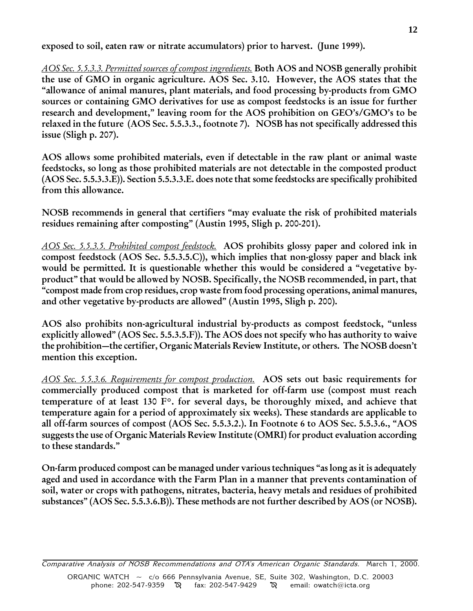exposed to soil, eaten raw or nitrate accumulators) prior to harvest. (June 1999).

AOS Sec. 5.5.3.3. Permitted sources of compost ingredients. Both AOS and NOSB generally prohibit the use of GMO in organic agriculture. AOS Sec. 3.10. However, the AOS states that the allowance of animal manures, plant materials, and food processing by-products from GMO sources or containing GMO derivatives for use as compost feedstocks is an issue for further research and development," leaving room for the AOS prohibition on GEO's/GMO's to be relaxed in the future (AOS Sec. 5.5.3.3., footnote 7). NOSB has not specifically addressed this issue (Sligh p. 207).

AOS allows some prohibited materials, even if detectable in the raw plant or animal waste feedstocks, so long as those prohibited materials are not detectable in the composted product (AOS Sec. 5.5.3.3.E)). Section 5.5.3.3.E. does note that some feedstocks are specifically prohibited from this allowance.

NOSB recommends in general that certifiers "may evaluate the risk of prohibited materials residues remaining after composting" (Austin 1995, Sligh p. 200-201).

AOS Sec. 5.5.3.5. Prohibited compost feedstock. AOS prohibits glossy paper and colored ink in compost feedstock (AOS Sec. 5.5.3.5.C)), which implies that non-glossy paper and black ink would be permitted. It is questionable whether this would be considered a "vegetative byproduct" that would be allowed by NOSB. Specifically, the NOSB recommended, in part, that compost made from crop residues, crop waste from food processing operations, animal manures, and other vegetative by-products are allowed" (Austin 1995, Sligh p. 200).

AOS also prohibits non-agricultural industrial by-products as compost feedstock, "unless explicitly allowed"  $(AOS Sec. 5.5.3.5.F)$ ). The AOS does not specify who has authority to waive the prohibition—the certifier, Organic Materials Review Institute, or others. The NOSB doesn't mention this exception.

AOS Sec. 5.5.3.6. Requirements for compost production. AOS sets out basic requirements for commercially produced compost that is marketed for off-farm use (compost must reach temperature of at least 130 F°. for several days, be thoroughly mixed, and achieve that temperature again for a period of approximately six weeks). These standards are applicable to all off-farm sources of compost (AOS Sec. 5.5.3.2.). In Footnote 6 to AOS Sec. 5.5.3.6., "AOS suggests the use of Organic Materials Review Institute (OMRI) for product evaluation according to these standards.

On-farm produced compost can be managed under various techniques "as long as it is adequately aged and used in accordance with the Farm Plan in a manner that prevents contamination of soil, water or crops with pathogens, nitrates, bacteria, heavy metals and residues of prohibited substances" (AOS Sec. 5.5.3.6.B)). These methods are not further described by AOS (or NOSB).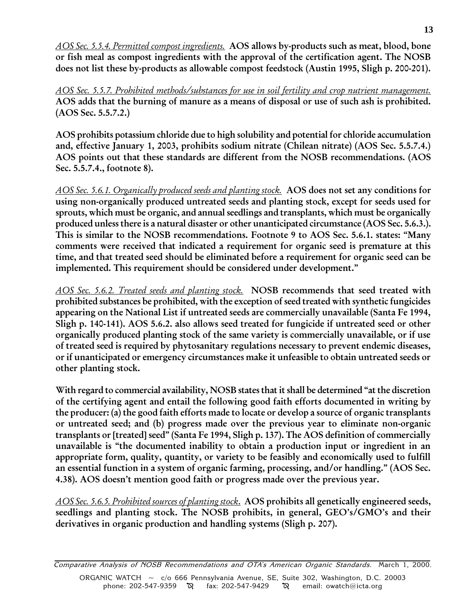AOS Sec. 5.5.4. Permitted compost ingredients. AOS allows by-products such as meat, blood, bone or fish meal as compost ingredients with the approval of the certification agent. The NOSB does not list these by-products as allowable compost feedstock (Austin 1995, Sligh p. 200-201).

AOS Sec. 5.5.7. Prohibited methods/substances for use in soil fertility and crop nutrient management. AOS adds that the burning of manure as a means of disposal or use of such ash is prohibited. (AOS Sec. 5.5.7.2.)

AOS prohibits potassium chloride due to high solubility and potential for chloride accumulation and, effective January 1, 2003, prohibits sodium nitrate (Chilean nitrate) (AOS Sec. 5.5.7.4.) AOS points out that these standards are different from the NOSB recommendations. (AOS Sec. 5.5.7.4., footnote 8).

AOS Sec. 5.6.1. Organically produced seeds and planting stock. AOS does not set any conditions for using non-organically produced untreated seeds and planting stock, except for seeds used for sprouts, which must be organic, and annual seedlings and transplants, which must be organically produced unless there is a natural disaster or other unanticipated circumstance (AOS Sec. 5.6.3.). This is similar to the NOSB recommendations. Footnote 9 to AOS Sec. 5.6.1. states: "Many comments were received that indicated a requirement for organic seed is premature at this time, and that treated seed should be eliminated before a requirement for organic seed can be implemented. This requirement should be considered under development.

AOS Sec. 5.6.2. Treated seeds and planting stock. NOSB recommends that seed treated with prohibited substances be prohibited, with the exception of seed treated with synthetic fungicides appearing on the National List if untreated seeds are commercially unavailable (Santa Fe 1994, Sligh p. 140-141). AOS 5.6.2. also allows seed treated for fungicide if untreated seed or other organically produced planting stock of the same variety is commercially unavailable, or if use of treated seed is required by phytosanitary regulations necessary to prevent endemic diseases, or if unanticipated or emergency circumstances make it unfeasible to obtain untreated seeds or other planting stock.

With regard to commercial availability, NOSB states that it shall be determined "at the discretion of the certifying agent and entail the following good faith efforts documented in writing by the producer: (a) the good faith efforts made to locate or develop a source of organic transplants or untreated seed; and (b) progress made over the previous year to eliminate non-organic transplants or [treated] seed" (Santa Fe 1994, Sligh p. 137). The AOS definition of commercially unavailable is "the documented inability to obtain a production input or ingredient in an appropriate form, quality, quantity, or variety to be feasibly and economically used to fulfill an essential function in a system of organic farming, processing, and/or handling." (AOS Sec. 4.38). AOS doesn't mention good faith or progress made over the previous year.

AOS Sec. 5.6.5. Prohibited sources of planting stock. AOS prohibits all genetically engineered seeds, seedlings and planting stock. The NOSB prohibits, in general, GEO's/GMO's and their derivatives in organic production and handling systems (Sligh p. 207).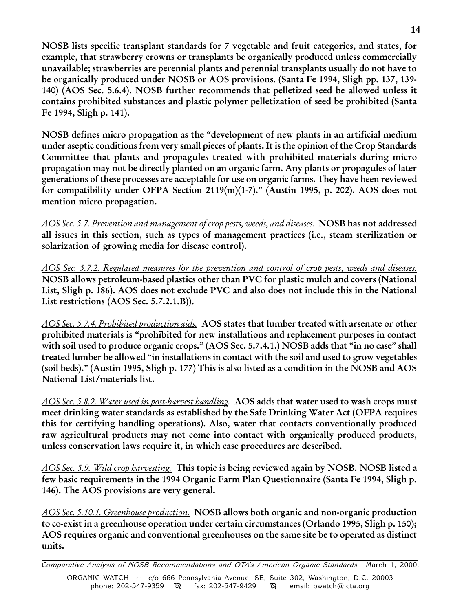NOSB lists specific transplant standards for 7 vegetable and fruit categories, and states, for example, that strawberry crowns or transplants be organically produced unless commercially unavailable; strawberries are perennial plants and perennial transplants usually do not have to be organically produced under NOSB or AOS provisions. (Santa Fe 1994, Sligh pp. 137, 139- 140) (AOS Sec. 5.6.4). NOSB further recommends that pelletized seed be allowed unless it contains prohibited substances and plastic polymer pelletization of seed be prohibited (Santa Fe 1994, Sligh p. 141).

NOSB defines micro propagation as the "development of new plants in an artificial medium under aseptic conditions from very small pieces of plants. It is the opinion of the Crop Standards Committee that plants and propagules treated with prohibited materials during micro propagation may not be directly planted on an organic farm. Any plants or propagules of later generations of these processes are acceptable for use on organic farms. They have been reviewed for compatibility under OFPA Section 2119(m)(1-7)." (Austin 1995, p. 202). AOS does not mention micro propagation.

AOS Sec. 5.7. Prevention and management of crop pests, weeds, and diseases. NOSB has not addressed all issues in this section, such as types of management practices (i.e., steam sterilization or solarization of growing media for disease control).

AOS Sec. 5.7.2. Regulated measures for the prevention and control of crop pests, weeds and diseases. NOSB allows petroleum-based plastics other than PVC for plastic mulch and covers (National List, Sligh p. 186). AOS does not exclude PVC and also does not include this in the National List restrictions (AOS Sec. 5.7.2.1.B)).

AOS Sec. 5.7.4. Prohibited production aids. AOS states that lumber treated with arsenate or other prohibited materials is "prohibited for new installations and replacement purposes in contact with soil used to produce organic crops." (AOS Sec. 5.7.4.1.) NOSB adds that "in no case" shall treated lumber be allowed "in installations in contact with the soil and used to grow vegetables (soil beds)." (Austin 1995, Sligh p. 177) This is also listed as a condition in the NOSB and AOS National List/materials list.

AOS Sec. 5.8.2. Water used in post-harvest handling. AOS adds that water used to wash crops must meet drinking water standards as established by the Safe Drinking Water Act (OFPA requires this for certifying handling operations). Also, water that contacts conventionally produced raw agricultural products may not come into contact with organically produced products, unless conservation laws require it, in which case procedures are described.

AOS Sec. 5.9. Wild crop harvesting. This topic is being reviewed again by NOSB. NOSB listed a few basic requirements in the 1994 Organic Farm Plan Questionnaire (Santa Fe 1994, Sligh p. 146). The AOS provisions are very general.

AOS Sec. 5.10.1. Greenhouse production. NOSB allows both organic and non-organic production to co-exist in a greenhouse operation under certain circumstances (Orlando 1995, Sligh p. 150); AOS requires organic and conventional greenhouses on the same site be to operated as distinct units.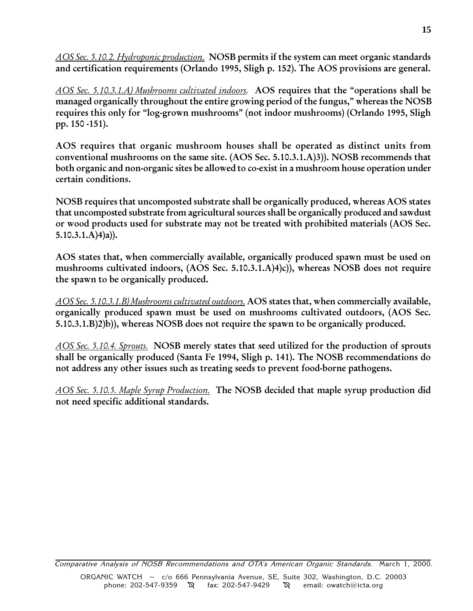AOS Sec. 5.10.2. Hydroponic production. NOSB permits if the system can meet organic standards and certification requirements (Orlando 1995, Sligh p. 152). The AOS provisions are general.

AOS Sec. 5.10.3.1.A) Mushrooms cultivated indoors. AOS requires that the "operations shall be managed organically throughout the entire growing period of the fungus," whereas the NOSB requires this only for "log-grown mushrooms" (not indoor mushrooms) (Orlando 1995, Sligh pp. 150 -151).

AOS requires that organic mushroom houses shall be operated as distinct units from conventional mushrooms on the same site. (AOS Sec. 5.10.3.1.A)3)). NOSB recommends that both organic and non-organic sites be allowed to co-exist in a mushroom house operation under certain conditions.

NOSB requires that uncomposted substrate shall be organically produced, whereas AOS states that uncomposted substrate from agricultural sources shall be organically produced and sawdust or wood products used for substrate may not be treated with prohibited materials (AOS Sec.  $5.10.3.1.A(4)a).$ 

AOS states that, when commercially available, organically produced spawn must be used on mushrooms cultivated indoors, (AOS Sec. 5.10.3.1.A)4)c)), whereas NOSB does not require the spawn to be organically produced.

AOS Sec. 5.10.3.1.B) Mushrooms cultivated outdoors. AOS states that, when commercially available, organically produced spawn must be used on mushrooms cultivated outdoors, (AOS Sec. 5.10.3.1.B)2)b)), whereas NOSB does not require the spawn to be organically produced.

AOS Sec. 5.10.4. Sprouts. NOSB merely states that seed utilized for the production of sprouts shall be organically produced (Santa Fe 1994, Sligh p. 141). The NOSB recommendations do not address any other issues such as treating seeds to prevent food-borne pathogens.

AOS Sec. 5.10.5. Maple Syrup Production. The NOSB decided that maple syrup production did not need specific additional standards.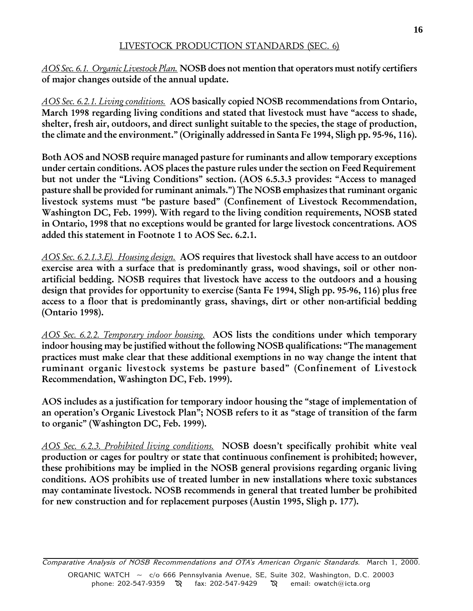### LIVESTOCK PRODUCTION STANDARDS (SEC. 6)

AOS Sec. 6.1. Organic Livestock Plan. NOSB does not mention that operators must notify certifiers of major changes outside of the annual update.

AOS Sec. 6.2.1. Living conditions. AOS basically copied NOSB recommendations from Ontario, March 1998 regarding living conditions and stated that livestock must have "access to shade, shelter, fresh air, outdoors, and direct sunlight suitable to the species, the stage of production, the climate and the environment." (Originally addressed in Santa Fe 1994, Sligh pp. 95-96, 116).

Both AOS and NOSB require managed pasture for ruminants and allow temporary exceptions under certain conditions. AOS places the pasture rules under the section on Feed Requirement but not under the "Living Conditions" section. (AOS 6.5.3.3 provides: "Access to managed pasture shall be provided for ruminant animals.") The NOSB emphasizes that ruminant organic livestock systems must "be pasture based" (Confinement of Livestock Recommendation, Washington DC, Feb. 1999). With regard to the living condition requirements, NOSB stated in Ontario, 1998 that no exceptions would be granted for large livestock concentrations. AOS added this statement in Footnote 1 to AOS Sec. 6.2.1.

AOS Sec. 6.2.1.3.E). Housing design. AOS requires that livestock shall have access to an outdoor exercise area with a surface that is predominantly grass, wood shavings, soil or other nonartificial bedding. NOSB requires that livestock have access to the outdoors and a housing design that provides for opportunity to exercise (Santa Fe 1994, Sligh pp. 95-96, 116) plus free access to a floor that is predominantly grass, shavings, dirt or other non-artificial bedding (Ontario 1998).

AOS Sec. 6.2.2. Temporary indoor housing. AOS lists the conditions under which temporary indoor housing may be justified without the following NOSB qualifications: The management practices must make clear that these additional exemptions in no way change the intent that ruminant organic livestock systems be pasture based" (Confinement of Livestock Recommendation, Washington DC, Feb. 1999).

AOS includes as a justification for temporary indoor housing the "stage of implementation of an operation's Organic Livestock Plan"; NOSB refers to it as "stage of transition of the farm to organic" (Washington DC, Feb. 1999).

AOS Sec. 6.2.3. Prohibited living conditions. NOSB doesn't specifically prohibit white veal production or cages for poultry or state that continuous confinement is prohibited; however, these prohibitions may be implied in the NOSB general provisions regarding organic living conditions. AOS prohibits use of treated lumber in new installations where toxic substances may contaminate livestock. NOSB recommends in general that treated lumber be prohibited for new construction and for replacement purposes (Austin 1995, Sligh p. 177).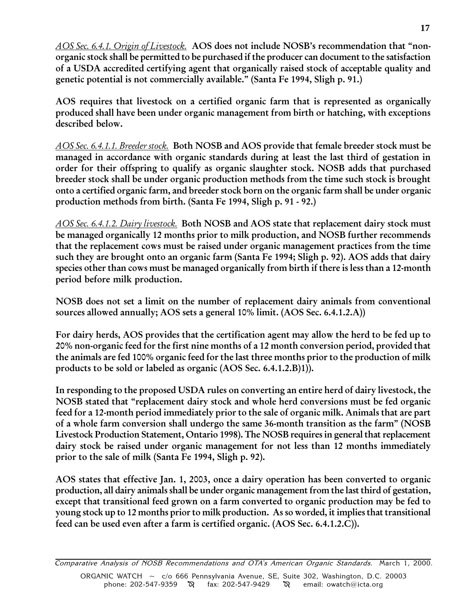AOS Sec. 6.4.1. Origin of Livestock. AOS does not include NOSB's recommendation that "nonorganic stock shall be permitted to be purchased if the producer can document to the satisfaction of a USDA accredited certifying agent that organically raised stock of acceptable quality and genetic potential is not commercially available." (Santa Fe 1994, Sligh p. 91.)

AOS requires that livestock on a certified organic farm that is represented as organically produced shall have been under organic management from birth or hatching, with exceptions described below.

AOS Sec. 6.4.1.1. Breeder stock. Both NOSB and AOS provide that female breeder stock must be managed in accordance with organic standards during at least the last third of gestation in order for their offspring to qualify as organic slaughter stock. NOSB adds that purchased breeder stock shall be under organic production methods from the time such stock is brought onto a certified organic farm, and breeder stock born on the organic farm shall be under organic production methods from birth. (Santa Fe 1994, Sligh p. 91 - 92.)

AOS Sec. 6.4.1.2. Dairy livestock. Both NOSB and AOS state that replacement dairy stock must be managed organically 12 months prior to milk production, and NOSB further recommends that the replacement cows must be raised under organic management practices from the time such they are brought onto an organic farm (Santa Fe 1994; Sligh p. 92). AOS adds that dairy species other than cows must be managed organically from birth if there is less than a 12-month period before milk production.

NOSB does not set a limit on the number of replacement dairy animals from conventional sources allowed annually; AOS sets a general 10% limit. (AOS Sec. 6.4.1.2.A))

For dairy herds, AOS provides that the certification agent may allow the herd to be fed up to 20% non-organic feed for the first nine months of a 12 month conversion period, provided that the animals are fed 100% organic feed for the last three months prior to the production of milk products to be sold or labeled as organic (AOS Sec. 6.4.1.2.B)1)).

In responding to the proposed USDA rules on converting an entire herd of dairy livestock, the NOSB stated that "replacement dairy stock and whole herd conversions must be fed organic feed for a 12-month period immediately prior to the sale of organic milk. Animals that are part of a whole farm conversion shall undergo the same 36-month transition as the farm" (NOSB Livestock Production Statement, Ontario 1998). The NOSB requires in general that replacement dairy stock be raised under organic management for not less than 12 months immediately prior to the sale of milk (Santa Fe 1994, Sligh p. 92).

AOS states that effective Jan. 1, 2003, once a dairy operation has been converted to organic production, all dairy animals shall be under organic management from the last third of gestation, except that transitional feed grown on a farm converted to organic production may be fed to young stock up to 12 months prior to milk production. As so worded, it implies that transitional feed can be used even after a farm is certified organic. (AOS Sec. 6.4.1.2.C)).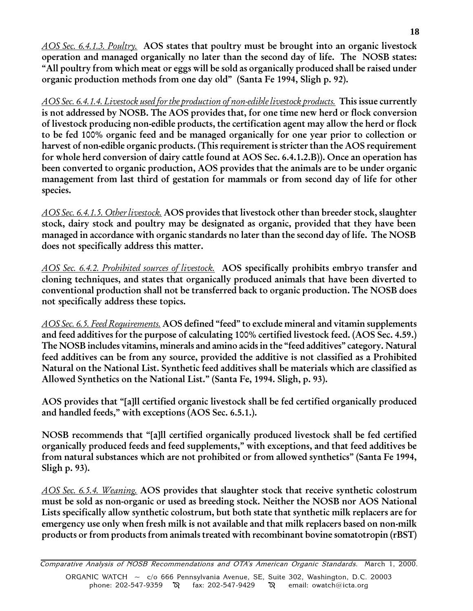AOS Sec. 6.4.1.3. Poultry. AOS states that poultry must be brought into an organic livestock operation and managed organically no later than the second day of life. The NOSB states: All poultry from which meat or eggs will be sold as organically produced shall be raised under organic production methods from one day old" (Santa Fe 1994, Sligh p. 92).

AOS Sec. 6.4.1.4. Livestock used for the production of non-edible livestock products. This issue currently is not addressed by NOSB. The AOS provides that, for one time new herd or flock conversion of livestock producing non-edible products, the certification agent may allow the herd or flock to be fed 100% organic feed and be managed organically for one year prior to collection or harvest of non-edible organic products. (This requirement is stricter than the AOS requirement for whole herd conversion of dairy cattle found at AOS Sec. 6.4.1.2.B)). Once an operation has been converted to organic production, AOS provides that the animals are to be under organic management from last third of gestation for mammals or from second day of life for other species.

AOS Sec. 6.4.1.5. Other livestock. AOS provides that livestock other than breeder stock, slaughter stock, dairy stock and poultry may be designated as organic, provided that they have been managed in accordance with organic standards no later than the second day of life. The NOSB does not specifically address this matter.

AOS Sec. 6.4.2. Prohibited sources of livestock. AOS specifically prohibits embryo transfer and cloning techniques, and states that organically produced animals that have been diverted to conventional production shall not be transferred back to organic production. The NOSB does not specifically address these topics.

AOS Sec. 6.5. Feed Requirements. AOS defined "feed" to exclude mineral and vitamin supplements and feed additives for the purpose of calculating 100% certified livestock feed. (AOS Sec. 4.59.) The NOSB includes vitamins, minerals and amino acids in the "feed additives" category. Natural feed additives can be from any source, provided the additive is not classified as a Prohibited Natural on the National List. Synthetic feed additives shall be materials which are classified as Allowed Synthetics on the National List." (Santa Fe, 1994. Sligh, p. 93).

AOS provides that "[a]ll certified organic livestock shall be fed certified organically produced and handled feeds," with exceptions (AOS Sec. 6.5.1.).

NOSB recommends that "[a]ll certified organically produced livestock shall be fed certified organically produced feeds and feed supplements, with exceptions, and that feed additives be from natural substances which are not prohibited or from allowed synthetics" (Santa Fe 1994, Sligh p. 93).

AOS Sec. 6.5.4. Weaning. AOS provides that slaughter stock that receive synthetic colostrum must be sold as non-organic or used as breeding stock. Neither the NOSB nor AOS National Lists specifically allow synthetic colostrum, but both state that synthetic milk replacers are for emergency use only when fresh milk is not available and that milk replacers based on non-milk products or from products from animals treated with recombinant bovine somatotropin (rBST)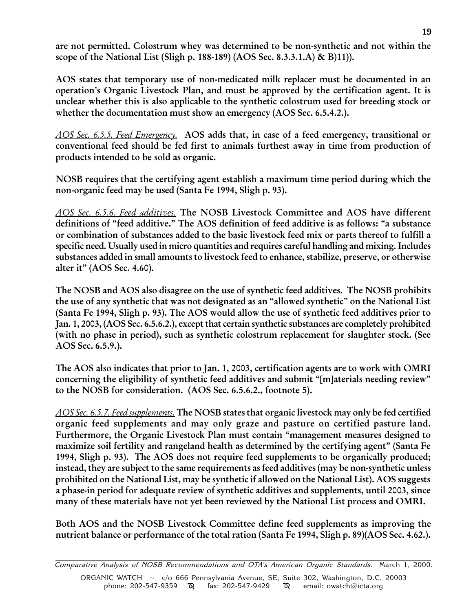are not permitted. Colostrum whey was determined to be non-synthetic and not within the scope of the National List (Sligh p. 188-189) (AOS Sec. 8.3.3.1.A) & B)11)).

AOS states that temporary use of non-medicated milk replacer must be documented in an operation's Organic Livestock Plan, and must be approved by the certification agent. It is unclear whether this is also applicable to the synthetic colostrum used for breeding stock or whether the documentation must show an emergency (AOS Sec. 6.5.4.2.).

AOS Sec. 6.5.5. Feed Emergency. AOS adds that, in case of a feed emergency, transitional or conventional feed should be fed first to animals furthest away in time from production of products intended to be sold as organic.

NOSB requires that the certifying agent establish a maximum time period during which the non-organic feed may be used (Santa Fe 1994, Sligh p. 93).

AOS Sec. 6.5.6. Feed additives. The NOSB Livestock Committee and AOS have different definitions of "feed additive." The AOS definition of feed additive is as follows: "a substance or combination of substances added to the basic livestock feed mix or parts thereof to fulfill a specific need. Usually used in micro quantities and requires careful handling and mixing. Includes substances added in small amounts to livestock feed to enhance, stabilize, preserve, or otherwise alter it" (AOS Sec. 4.60).

The NOSB and AOS also disagree on the use of synthetic feed additives. The NOSB prohibits the use of any synthetic that was not designated as an "allowed synthetic" on the National List (Santa Fe 1994, Sligh p. 93). The AOS would allow the use of synthetic feed additives prior to Jan. 1, 2003, (AOS Sec. 6.5.6.2.), except that certain synthetic substances are completely prohibited (with no phase in period), such as synthetic colostrum replacement for slaughter stock. (See AOS Sec. 6.5.9.).

The AOS also indicates that prior to Jan. 1, 2003, certification agents are to work with OMRI concerning the eligibility of synthetic feed additives and submit "[m]aterials needing review" to the NOSB for consideration. (AOS Sec. 6.5.6.2., footnote 5).

AOS Sec. 6.5.7. Feed supplements. The NOSB states that organic livestock may only be fed certified organic feed supplements and may only graze and pasture on certified pasture land. Furthermore, the Organic Livestock Plan must contain "management measures designed to maximize soil fertility and rangeland health as determined by the certifying agent" (Santa Fe 1994, Sligh p. 93). The AOS does not require feed supplements to be organically produced; instead, they are subject to the same requirements as feed additives (may be non-synthetic unless prohibited on the National List, may be synthetic if allowed on the National List). AOS suggests a phase-in period for adequate review of synthetic additives and supplements, until 2003, since many of these materials have not yet been reviewed by the National List process and OMRI.

Both AOS and the NOSB Livestock Committee define feed supplements as improving the nutrient balance or performance of the total ration (Santa Fe 1994, Sligh p. 89)(AOS Sec. 4.62.).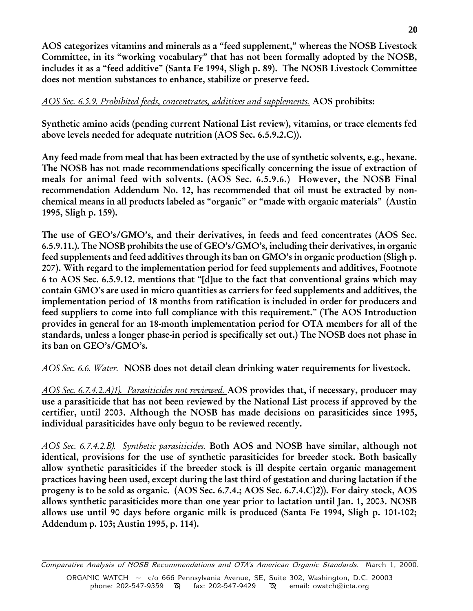AOS categorizes vitamins and minerals as a "feed supplement," whereas the NOSB Livestock Committee, in its "working vocabulary" that has not been formally adopted by the NOSB, includes it as a "feed additive" (Santa Fe 1994, Sligh p. 89). The NOSB Livestock Committee does not mention substances to enhance, stabilize or preserve feed.

# AOS Sec. 6.5.9. Prohibited feeds, concentrates, additives and supplements. AOS prohibits:

Synthetic amino acids (pending current National List review), vitamins, or trace elements fed above levels needed for adequate nutrition (AOS Sec. 6.5.9.2.C)).

Any feed made from meal that has been extracted by the use of synthetic solvents, e.g., hexane. The NOSB has not made recommendations specifically concerning the issue of extraction of meals for animal feed with solvents. (AOS Sec. 6.5.9.6.) However, the NOSB Final recommendation Addendum No. 12, has recommended that oil must be extracted by nonchemical means in all products labeled as "organic" or "made with organic materials" (Austin 1995, Sligh p. 159).

The use of GEO's/GMO's, and their derivatives, in feeds and feed concentrates (AOS Sec. 6.5.9.11.). The NOSB prohibits the use of GEO's/GMO's, including their derivatives, in organic feed supplements and feed additives through its ban on GMO's in organic production (Sligh p. 207). With regard to the implementation period for feed supplements and additives, Footnote 6 to AOS Sec. 6.5.9.12. mentions that "[d]ue to the fact that conventional grains which may contain GMO's are used in micro quantities as carriers for feed supplements and additives, the implementation period of 18 months from ratification is included in order for producers and feed suppliers to come into full compliance with this requirement." (The AOS Introduction provides in general for an 18-month implementation period for OTA members for all of the standards, unless a longer phase-in period is specifically set out.) The NOSB does not phase in its ban on GEO's/GMO's.

AOS Sec. 6.6. Water. NOSB does not detail clean drinking water requirements for livestock.

AOS Sec. 6.7.4.2.A)1). Parasiticides not reviewed. AOS provides that, if necessary, producer may use a parasiticide that has not been reviewed by the National List process if approved by the certifier, until 2003. Although the NOSB has made decisions on parasiticides since 1995, individual parasiticides have only begun to be reviewed recently.

AOS Sec. 6.7.4.2.B). Synthetic parasiticides. Both AOS and NOSB have similar, although not identical, provisions for the use of synthetic parasiticides for breeder stock. Both basically allow synthetic parasiticides if the breeder stock is ill despite certain organic management practices having been used, except during the last third of gestation and during lactation if the progeny is to be sold as organic. (AOS Sec. 6.7.4.; AOS Sec. 6.7.4.C)2)). For dairy stock, AOS allows synthetic parasiticides more than one year prior to lactation until Jan. 1, 2003. NOSB allows use until 90 days before organic milk is produced (Santa Fe 1994, Sligh p. 101-102; Addendum p. 103; Austin 1995, p. 114).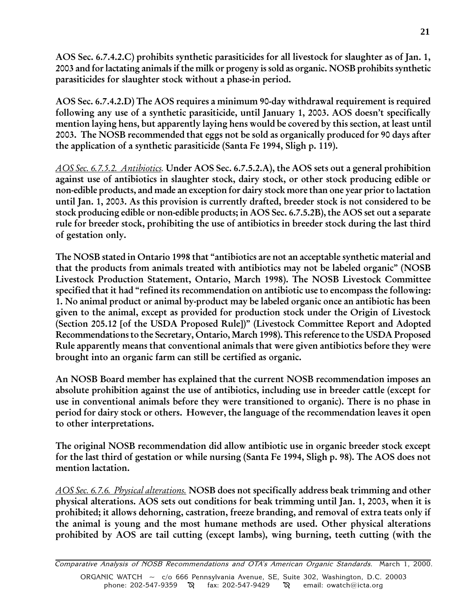AOS Sec. 6.7.4.2.C) prohibits synthetic parasiticides for all livestock for slaughter as of Jan. 1, 2003 and for lactating animals if the milk or progeny is sold as organic. NOSB prohibits synthetic parasiticides for slaughter stock without a phase-in period.

AOS Sec. 6.7.4.2.D) The AOS requires a minimum 90-day withdrawal requirement is required following any use of a synthetic parasiticide, until January 1, 2003. AOS doesn't specifically mention laying hens, but apparently laying hens would be covered by this section, at least until 2003. The NOSB recommended that eggs not be sold as organically produced for 90 days after the application of a synthetic parasiticide (Santa Fe 1994, Sligh p. 119).

AOS Sec. 6.7.5.2. Antibiotics. Under AOS Sec. 6.7.5.2.A), the AOS sets out a general prohibition against use of antibiotics in slaughter stock, dairy stock, or other stock producing edible or non-edible products, and made an exception for dairy stock more than one year prior to lactation until Jan. 1, 2003. As this provision is currently drafted, breeder stock is not considered to be stock producing edible or non-edible products; in AOS Sec. 6.7.5.2B), the AOS set out a separate rule for breeder stock, prohibiting the use of antibiotics in breeder stock during the last third of gestation only.

The NOSB stated in Ontario 1998 that "antibiotics are not an acceptable synthetic material and that the products from animals treated with antibiotics may not be labeled organic" (NOSB Livestock Production Statement, Ontario, March 1998). The NOSB Livestock Committee specified that it had "refined its recommendation on antibiotic use to encompass the following: 1. No animal product or animal by-product may be labeled organic once an antibiotic has been given to the animal, except as provided for production stock under the Origin of Livestock (Section 205.12 [of the USDA Proposed Rule])" (Livestock Committee Report and Adopted Recommendations to the Secretary, Ontario, March 1998). This reference to the USDA Proposed Rule apparently means that conventional animals that were given antibiotics before they were brought into an organic farm can still be certified as organic.

An NOSB Board member has explained that the current NOSB recommendation imposes an absolute prohibition against the use of antibiotics, including use in breeder cattle (except for use in conventional animals before they were transitioned to organic). There is no phase in period for dairy stock or others. However, the language of the recommendation leaves it open to other interpretations.

The original NOSB recommendation did allow antibiotic use in organic breeder stock except for the last third of gestation or while nursing (Santa Fe 1994, Sligh p. 98). The AOS does not mention lactation.

AOS Sec. 6.7.6. Physical alterations. NOSB does not specifically address beak trimming and other physical alterations. AOS sets out conditions for beak trimming until Jan. 1, 2003, when it is prohibited; it allows dehorning, castration, freeze branding, and removal of extra teats only if the animal is young and the most humane methods are used. Other physical alterations prohibited by AOS are tail cutting (except lambs), wing burning, teeth cutting (with the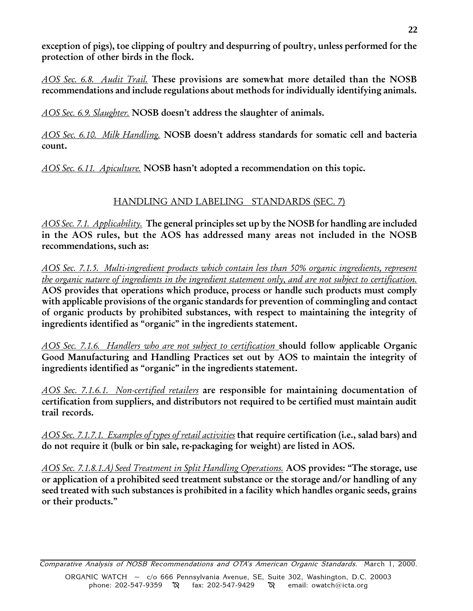exception of pigs), toe clipping of poultry and despurring of poultry, unless performed for the protection of other birds in the flock.

AOS Sec. 6.8. Audit Trail. These provisions are somewhat more detailed than the NOSB recommendations and include regulations about methods for individually identifying animals.

AOS Sec. 6.9. Slaughter. NOSB doesn't address the slaughter of animals.

AOS Sec. 6.10. Milk Handling. NOSB doesn't address standards for somatic cell and bacteria count.

AOS Sec. 6.11. Apiculture. NOSB hasn't adopted a recommendation on this topic.

# HANDLING AND LABELING STANDARDS (SEC. 7)

AOS Sec. 7.1. Applicability. The general principles set up by the NOSB for handling are included in the AOS rules, but the AOS has addressed many areas not included in the NOSB recommendations, such as:

AOS Sec. 7.1.5. Multi-ingredient products which contain less than 50% organic ingredients, represent the organic nature of ingredients in the ingredient statement only, and are not subject to certification. AOS provides that operations which produce, process or handle such products must comply with applicable provisions of the organic standards for prevention of commingling and contact of organic products by prohibited substances, with respect to maintaining the integrity of ingredients identified as "organic" in the ingredients statement.

AOS Sec. 7.1.6. Handlers who are not subject to certification should follow applicable Organic Good Manufacturing and Handling Practices set out by AOS to maintain the integrity of ingredients identified as "organic" in the ingredients statement.

AOS Sec. 7.1.6.1. Non-certified retailers are responsible for maintaining documentation of certification from suppliers, and distributors not required to be certified must maintain audit trail records.

AOS Sec. 7.1.7.1. Examples of types of retail activities that require certification (i.e., salad bars) and do not require it (bulk or bin sale, re-packaging for weight) are listed in AOS.

AOS Sec. 7.1.8.1.A) Seed Treatment in Split Handling Operations. AOS provides: "The storage, use or application of a prohibited seed treatment substance or the storage and/or handling of any seed treated with such substances is prohibited in a facility which handles organic seeds, grains or their products.

Comparative Analysis of NOSB Recommendations and OTA's American Organic Standards. March 1, 2000. ORGANIC WATCH ~ c/o 666 Pennsylvania Avenue, SE, Suite 302, Washington, D.C. 20003 phone: 202-547-9359  $\aleph$  fax: 202-547-9429  $\aleph$  email: owatch@icta.org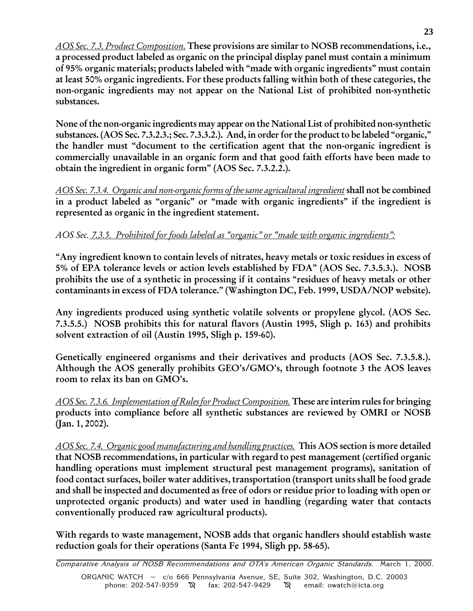**23**

AOS Sec. 7.3. Product Composition. These provisions are similar to NOSB recommendations, i.e., a processed product labeled as organic on the principal display panel must contain a minimum of 95% organic materials; products labeled with "made with organic ingredients" must contain at least 50% organic ingredients. For these products falling within both of these categories, the non-organic ingredients may not appear on the National List of prohibited non-synthetic substances.

None of the non-organic ingredients may appear on the National List of prohibited non-synthetic substances. (AOS Sec. 7.3.2.3.; Sec. 7.3.3.2.). And, in order for the product to be labeled "organic," the handler must "document to the certification agent that the non-organic ingredient is commercially unavailable in an organic form and that good faith efforts have been made to obtain the ingredient in organic form" (AOS Sec. 7.3.2.2.).

AOS Sec. 7.3.4. Organic and non-organic forms of the same agricultural ingredient shall not be combined in a product labeled as "organic" or "made with organic ingredients" if the ingredient is represented as organic in the ingredient statement.

# AOS Sec. 7.3.5. Prohibited for foods labeled as "organic" or "made with organic ingredients":

Any ingredient known to contain levels of nitrates, heavy metals or toxic residues in excess of 5% of EPA tolerance levels or action levels established by FDA" (AOS Sec. 7.3.5.3.). NOSB prohibits the use of a synthetic in processing if it contains "residues of heavy metals or other contaminants in excess of FDA tolerance." (Washington DC, Feb. 1999, USDA/NOP website).

Any ingredients produced using synthetic volatile solvents or propylene glycol. (AOS Sec. 7.3.5.5.) NOSB prohibits this for natural flavors (Austin 1995, Sligh p. 163) and prohibits solvent extraction of oil (Austin 1995, Sligh p. 159-60).

Genetically engineered organisms and their derivatives and products (AOS Sec. 7.3.5.8.). Although the AOS generally prohibits GEO's/GMO's, through footnote 3 the AOS leaves room to relax its ban on GMO's.

AOS Sec. 7.3.6. Implementation of Rules for Product Composition. These are interim rules for bringing products into compliance before all synthetic substances are reviewed by OMRI or NOSB (Jan. 1, 2002).

AOS Sec. 7.4. Organic good manufacturing and handling practices. This AOS section is more detailed that NOSB recommendations, in particular with regard to pest management (certified organic handling operations must implement structural pest management programs), sanitation of food contact surfaces, boiler water additives, transportation (transport units shall be food grade and shall be inspected and documented as free of odors or residue prior to loading with open or unprotected organic products) and water used in handling (regarding water that contacts conventionally produced raw agricultural products).

With regards to waste management, NOSB adds that organic handlers should establish waste reduction goals for their operations (Santa Fe 1994, Sligh pp. 58-65).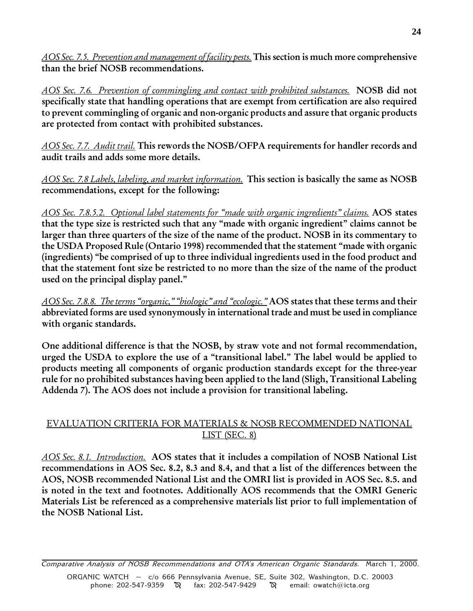AOS Sec. 7.5. Prevention and management of facility pests. This section is much more comprehensive than the brief NOSB recommendations.

AOS Sec. 7.6. Prevention of commingling and contact with prohibited substances. NOSB did not specifically state that handling operations that are exempt from certification are also required to prevent commingling of organic and non-organic products and assure that organic products are protected from contact with prohibited substances.

AOS Sec. 7.7. Audit trail. This rewords the NOSB/OFPA requirements for handler records and audit trails and adds some more details.

AOS Sec. 7.8 Labels, labeling, and market information. This section is basically the same as NOSB recommendations, except for the following:

AOS Sec. 7.8.5.2. Optional label statements for "made with organic ingredients" claims. AOS states that the type size is restricted such that any "made with organic ingredient" claims cannot be larger than three quarters of the size of the name of the product. NOSB in its commentary to the USDA Proposed Rule (Ontario 1998) recommended that the statement "made with organic (ingredients) be comprised of up to three individual ingredients used in the food product and that the statement font size be restricted to no more than the size of the name of the product used on the principal display panel.

AOS Sec. 7.8.8. The terms "organic," "biologic" and "ecologic." AOS states that these terms and their abbreviated forms are used synonymously in international trade and must be used in compliance with organic standards.

One additional difference is that the NOSB, by straw vote and not formal recommendation, urged the USDA to explore the use of a "transitional label." The label would be applied to products meeting all components of organic production standards except for the three-year rule for no prohibited substances having been applied to the land (Sligh, Transitional Labeling Addenda 7). The AOS does not include a provision for transitional labeling.

# EVALUATION CRITERIA FOR MATERIALS & NOSB RECOMMENDED NATIONAL LIST (SEC. 8)

AOS Sec. 8.1. Introduction. AOS states that it includes a compilation of NOSB National List recommendations in AOS Sec. 8.2, 8.3 and 8.4, and that a list of the differences between the AOS, NOSB recommended National List and the OMRI list is provided in AOS Sec. 8.5. and is noted in the text and footnotes. Additionally AOS recommends that the OMRI Generic Materials List be referenced as a comprehensive materials list prior to full implementation of the NOSB National List.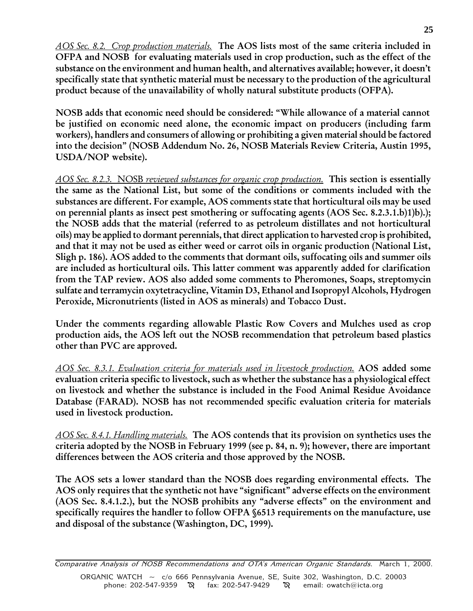AOS Sec. 8.2. Crop production materials. The AOS lists most of the same criteria included in OFPA and NOSB for evaluating materials used in crop production, such as the effect of the substance on the environment and human health, and alternatives available; however, it doesn't specifically state that synthetic material must be necessary to the production of the agricultural product because of the unavailability of wholly natural substitute products (OFPA).

NOSB adds that economic need should be considered: While allowance of a material cannot be justified on economic need alone, the economic impact on producers (including farm workers), handlers and consumers of allowing or prohibiting a given material should be factored into the decision" (NOSB Addendum No. 26, NOSB Materials Review Criteria, Austin 1995, USDA/NOP website).

AOS Sec. 8.2.3. NOSB reviewed substances for organic crop production. This section is essentially the same as the National List, but some of the conditions or comments included with the substances are different. For example, AOS comments state that horticultural oils may be used on perennial plants as insect pest smothering or suffocating agents (AOS Sec. 8.2.3.1.b)1)b).); the NOSB adds that the material (referred to as petroleum distillates and not horticultural oils) may be applied to dormant perennials, that direct application to harvested crop is prohibited, and that it may not be used as either weed or carrot oils in organic production (National List, Sligh p. 186). AOS added to the comments that dormant oils, suffocating oils and summer oils are included as horticultural oils. This latter comment was apparently added for clarification from the TAP review. AOS also added some comments to Pheromones, Soaps, streptomycin sulfate and terramycin oxytetracycline, Vitamin D3, Ethanol and Isopropyl Alcohols, Hydrogen Peroxide, Micronutrients (listed in AOS as minerals) and Tobacco Dust.

Under the comments regarding allowable Plastic Row Covers and Mulches used as crop production aids, the AOS left out the NOSB recommendation that petroleum based plastics other than PVC are approved.

AOS Sec. 8.3.1. Evaluation criteria for materials used in livestock production. AOS added some evaluation criteria specific to livestock, such as whether the substance has a physiological effect on livestock and whether the substance is included in the Food Animal Residue Avoidance Database (FARAD). NOSB has not recommended specific evaluation criteria for materials used in livestock production.

AOS Sec. 8.4.1. Handling materials. The AOS contends that its provision on synthetics uses the criteria adopted by the NOSB in February 1999 (see p. 84, n. 9); however, there are important differences between the AOS criteria and those approved by the NOSB.

The AOS sets a lower standard than the NOSB does regarding environmental effects. The AOS only requires that the synthetic not have "significant" adverse effects on the environment (AOS Sec. 8.4.1.2.), but the NOSB prohibits any "adverse effects" on the environment and specifically requires the handler to follow OFPA §6513 requirements on the manufacture, use and disposal of the substance (Washington, DC, 1999).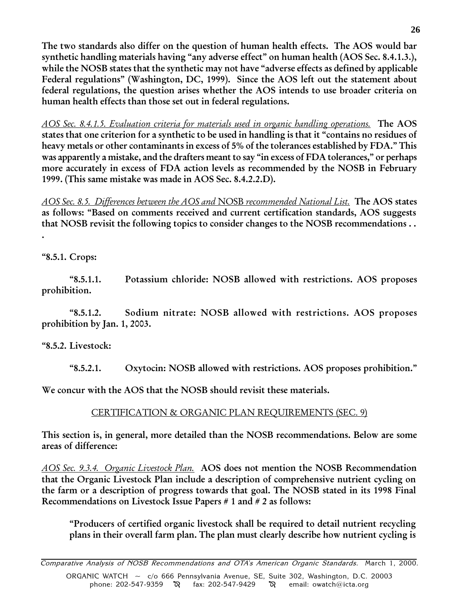The two standards also differ on the question of human health effects. The AOS would bar synthetic handling materials having "any adverse effect" on human health (AOS Sec. 8.4.1.3.), while the NOSB states that the synthetic may not have "adverse effects as defined by applicable Federal regulations" (Washington, DC, 1999). Since the AOS left out the statement about federal regulations, the question arises whether the AOS intends to use broader criteria on human health effects than those set out in federal regulations.

AOS Sec. 8.4.1.5. Evaluation criteria for materials used in organic handling operations. The AOS states that one criterion for a synthetic to be used in handling is that it "contains no residues of heavy metals or other contaminants in excess of 5% of the tolerances established by FDA." This was apparently a mistake, and the drafters meant to say "in excess of FDA tolerances," or perhaps more accurately in excess of FDA action levels as recommended by the NOSB in February 1999. (This same mistake was made in AOS Sec. 8.4.2.2.D).

AOS Sec. 8.5. Differences between the AOS and NOSB recommended National List. The AOS states as follows: "Based on comments received and current certification standards, AOS suggests that NOSB revisit the following topics to consider changes to the NOSB recommendations . . .

8.5.1. Crops:

8.5.1.1. Potassium chloride: NOSB allowed with restrictions. AOS proposes prohibition.

8.5.1.2. Sodium nitrate: NOSB allowed with restrictions. AOS proposes prohibition by Jan. 1, 2003.

8.5.2. Livestock:

8.5.2.1. Oxytocin: NOSB allowed with restrictions. AOS proposes prohibition.

We concur with the AOS that the NOSB should revisit these materials.

# CERTIFICATION & ORGANIC PLAN REQUIREMENTS (SEC. 9)

This section is, in general, more detailed than the NOSB recommendations. Below are some areas of difference:

AOS Sec. 9.3.4. Organic Livestock Plan. AOS does not mention the NOSB Recommendation that the Organic Livestock Plan include a description of comprehensive nutrient cycling on the farm or a description of progress towards that goal. The NOSB stated in its 1998 Final Recommendations on Livestock Issue Papers # 1 and # 2 as follows:

Producers of certified organic livestock shall be required to detail nutrient recycling plans in their overall farm plan. The plan must clearly describe how nutrient cycling is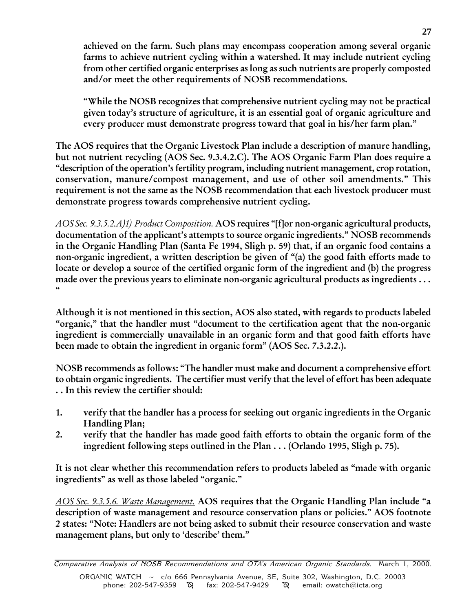achieved on the farm. Such plans may encompass cooperation among several organic farms to achieve nutrient cycling within a watershed. It may include nutrient cycling from other certified organic enterprises as long as such nutrients are properly composted and/or meet the other requirements of NOSB recommendations.

While the NOSB recognizes that comprehensive nutrient cycling may not be practical given today's structure of agriculture, it is an essential goal of organic agriculture and every producer must demonstrate progress toward that goal in his/her farm plan.

The AOS requires that the Organic Livestock Plan include a description of manure handling, but not nutrient recycling (AOS Sec. 9.3.4.2.C). The AOS Organic Farm Plan does require a "description of the operation's fertility program, including nutrient management, crop rotation, conservation, manure/compost management, and use of other soil amendments. This requirement is not the same as the NOSB recommendation that each livestock producer must demonstrate progress towards comprehensive nutrient cycling.

AOS Sec. 9.3.5.2.A)1) Product Composition. AOS requires "[f]or non-organic agricultural products, documentation of the applicant's attempts to source organic ingredients." NOSB recommends in the Organic Handling Plan (Santa Fe 1994, Sligh p. 59) that, if an organic food contains a non-organic ingredient, a written description be given of  $\degree$ (a) the good faith efforts made to locate or develop a source of the certified organic form of the ingredient and (b) the progress made over the previous years to eliminate non-organic agricultural products as ingredients . . .  $\epsilon$ 

Although it is not mentioned in this section, AOS also stated, with regards to products labeled "organic," that the handler must "document to the certification agent that the non-organic ingredient is commercially unavailable in an organic form and that good faith efforts have been made to obtain the ingredient in organic form" (AOS Sec. 7.3.2.2.).

NOSB recommends as follows: The handler must make and document a comprehensive effort to obtain organic ingredients. The certifier must verify that the level of effort has been adequate . . In this review the certifier should:

- 1. verify that the handler has a process for seeking out organic ingredients in the Organic Handling Plan;
- 2. verify that the handler has made good faith efforts to obtain the organic form of the ingredient following steps outlined in the Plan . . . (Orlando 1995, Sligh p. 75).

It is not clear whether this recommendation refers to products labeled as "made with organic ingredients" as well as those labeled "organic."

AOS Sec. 9.3.5.6. Waste Management. AOS requires that the Organic Handling Plan include "a description of waste management and resource conservation plans or policies." AOS footnote 2 states: Note: Handlers are not being asked to submit their resource conservation and waste management plans, but only to 'describe' them."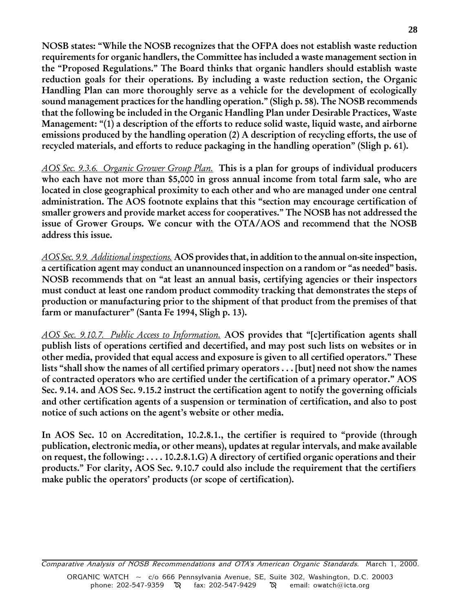NOSB states: While the NOSB recognizes that the OFPA does not establish waste reduction requirements for organic handlers, the Committee has included a waste management section in the Proposed Regulations. The Board thinks that organic handlers should establish waste reduction goals for their operations. By including a waste reduction section, the Organic Handling Plan can more thoroughly serve as a vehicle for the development of ecologically sound management practices for the handling operation." (Sligh p. 58). The NOSB recommends that the following be included in the Organic Handling Plan under Desirable Practices, Waste Management: "(1) a description of the efforts to reduce solid waste, liquid waste, and airborne emissions produced by the handling operation (2) A description of recycling efforts, the use of recycled materials, and efforts to reduce packaging in the handling operation" (Sligh p. 61).

AOS Sec. 9.3.6. Organic Grower Group Plan. This is a plan for groups of individual producers who each have not more than \$5,000 in gross annual income from total farm sale, who are located in close geographical proximity to each other and who are managed under one central administration. The AOS footnote explains that this "section may encourage certification of smaller growers and provide market access for cooperatives. The NOSB has not addressed the issue of Grower Groups. We concur with the OTA/AOS and recommend that the NOSB address this issue.

AOS Sec. 9.9. Additional inspections. AOS provides that, in addition to the annual on-site inspection, a certification agent may conduct an unannounced inspection on a random or "as needed" basis. NOSB recommends that on "at least an annual basis, certifying agencies or their inspectors must conduct at least one random product commodity tracking that demonstrates the steps of production or manufacturing prior to the shipment of that product from the premises of that farm or manufacturer" (Santa Fe 1994, Sligh p. 13).

AOS Sec. 9.10.7. Public Access to Information. AOS provides that "[c]ertification agents shall publish lists of operations certified and decertified, and may post such lists on websites or in other media, provided that equal access and exposure is given to all certified operators. These lists "shall show the names of all certified primary operators  $\ldots$  [but] need not show the names of contracted operators who are certified under the certification of a primary operator." AOS Sec. 9.14. and AOS Sec. 9.15.2 instruct the certification agent to notify the governing officials and other certification agents of a suspension or termination of certification, and also to post notice of such actions on the agent's website or other media.

In AOS Sec. 10 on Accreditation, 10.2.8.1., the certifier is required to "provide (through publication, electronic media, or other means), updates at regular intervals, and make available on request, the following: . . . . 10.2.8.1.G) A directory of certified organic operations and their products." For clarity, AOS Sec. 9.10.7 could also include the requirement that the certifiers make public the operators' products (or scope of certification).

Comparative Analysis of NOSB Recommendations and OTA's American Organic Standards. March 1, 2000. ORGANIC WATCH ~ c/o 666 Pennsylvania Avenue, SE, Suite 302, Washington, D.C. 20003 phone: 202-547-9359  $\aleph$  fax: 202-547-9429  $\aleph$  email: owatch@icta.org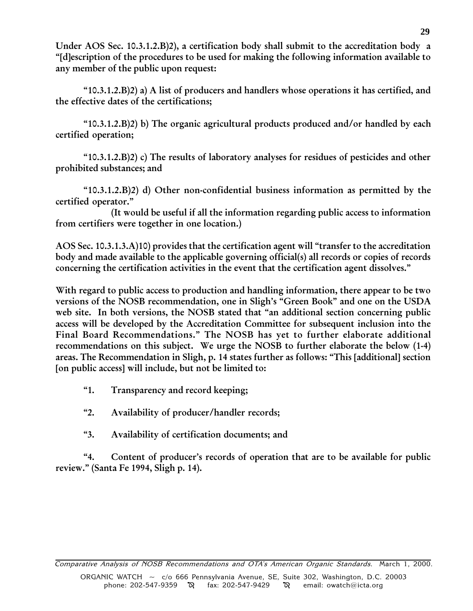Under AOS Sec. 10.3.1.2.B)2), a certification body shall submit to the accreditation body a [d]escription of the procedures to be used for making the following information available to any member of the public upon request:

" $10.3.1.2.B$ ) a) A list of producers and handlers whose operations it has certified, and the effective dates of the certifications;

" $10.3.1.2.B$ ) b) The organic agricultural products produced and/or handled by each certified operation;

" $10.3.1.2.B$ ) c) The results of laboratory analyses for residues of pesticides and other prohibited substances; and

10.3.1.2.B)2) d) Other non-confidential business information as permitted by the certified operator.

(It would be useful if all the information regarding public access to information from certifiers were together in one location.)

AOS Sec. 10.3.1.3.A)10) provides that the certification agent will "transfer to the accreditation body and made available to the applicable governing official(s) all records or copies of records concerning the certification activities in the event that the certification agent dissolves.

With regard to public access to production and handling information, there appear to be two versions of the NOSB recommendation, one in Sligh's "Green Book" and one on the USDA web site. In both versions, the NOSB stated that "an additional section concerning public access will be developed by the Accreditation Committee for subsequent inclusion into the Final Board Recommendations." The NOSB has yet to further elaborate additional recommendations on this subject. We urge the NOSB to further elaborate the below (1-4) areas. The Recommendation in Sligh, p. 14 states further as follows: This [additional] section [on public access] will include, but not be limited to:

- 1. Transparency and record keeping;
- 2. Availability of producer/handler records;
- 3. Availability of certification documents; and

"4. Content of producer's records of operation that are to be available for public review." (Santa Fe 1994, Sligh p. 14).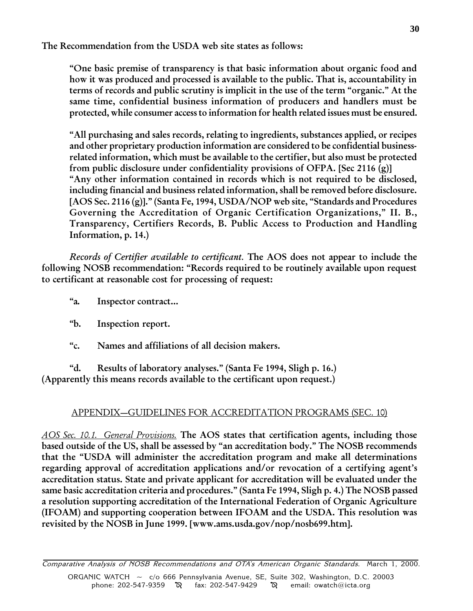The Recommendation from the USDA web site states as follows:

One basic premise of transparency is that basic information about organic food and how it was produced and processed is available to the public. That is, accountability in terms of records and public scrutiny is implicit in the use of the term "organic." At the same time, confidential business information of producers and handlers must be protected, while consumer access to information for health related issues must be ensured.

All purchasing and sales records, relating to ingredients, substances applied, or recipes and other proprietary production information are considered to be confidential businessrelated information, which must be available to the certifier, but also must be protected from public disclosure under confidentiality provisions of OFPA. [Sec 2116 (g)] Any other information contained in records which is not required to be disclosed, including financial and business related information, shall be removed before disclosure. [AOS Sec. 2116 (g)]." (Santa Fe, 1994, USDA/NOP web site, "Standards and Procedures Governing the Accreditation of Organic Certification Organizations," II. B., Transparency, Certifiers Records, B. Public Access to Production and Handling Information, p. 14.)

Records of Certifier available to certificant. The AOS does not appear to include the following NOSB recommendation: "Records required to be routinely available upon request to certificant at reasonable cost for processing of request:

- a. Inspector contract...
- b. Inspection report.
- c. Names and affiliations of all decision makers.

d. Results of laboratory analyses. (Santa Fe 1994, Sligh p. 16.) (Apparently this means records available to the certificant upon request.)

# APPENDIX-GUIDELINES FOR ACCREDITATION PROGRAMS (SEC. 10)

AOS Sec. 10.1. General Provisions. The AOS states that certification agents, including those based outside of the US, shall be assessed by "an accreditation body." The NOSB recommends that the "USDA will administer the accreditation program and make all determinations regarding approval of accreditation applications and/or revocation of a certifying agent's accreditation status. State and private applicant for accreditation will be evaluated under the same basic accreditation criteria and procedures." (Santa Fe 1994, Sligh p. 4.) The NOSB passed a resolution supporting accreditation of the International Federation of Organic Agriculture (IFOAM) and supporting cooperation between IFOAM and the USDA. This resolution was revisited by the NOSB in June 1999. [www.ams.usda.gov/nop/nosb699.htm].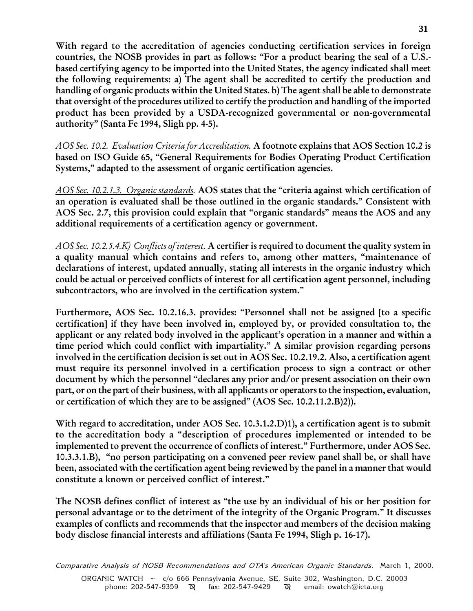With regard to the accreditation of agencies conducting certification services in foreign countries, the NOSB provides in part as follows: "For a product bearing the seal of a U.S.based certifying agency to be imported into the United States, the agency indicated shall meet the following requirements: a) The agent shall be accredited to certify the production and handling of organic products within the United States. b) The agent shall be able to demonstrate that oversight of the procedures utilized to certify the production and handling of the imported product has been provided by a USDA-recognized governmental or non-governmental authority" (Santa Fe 1994, Sligh pp. 4-5).

AOS Sec. 10.2. Evaluation Criteria for Accreditation. A footnote explains that AOS Section 10.2 is based on ISO Guide 65, "General Requirements for Bodies Operating Product Certification Systems," adapted to the assessment of organic certification agencies.

AOS Sec. 10.2.1.3. Organic standards. AOS states that the "criteria against which certification of an operation is evaluated shall be those outlined in the organic standards. Consistent with AOS Sec. 2.7, this provision could explain that "organic standards" means the AOS and any additional requirements of a certification agency or government.

AOS Sec. 10.2.5.4.K) Conflicts of interest. A certifier is required to document the quality system in a quality manual which contains and refers to, among other matters, maintenance of declarations of interest, updated annually, stating all interests in the organic industry which could be actual or perceived conflicts of interest for all certification agent personnel, including subcontractors, who are involved in the certification system."

Furthermore, AOS Sec. 10.2.16.3. provides: "Personnel shall not be assigned [to a specific certification] if they have been involved in, employed by, or provided consultation to, the applicant or any related body involved in the applicant's operation in a manner and within a time period which could conflict with impartiality." A similar provision regarding persons involved in the certification decision is set out in AOS Sec. 10.2.19.2. Also, a certification agent must require its personnel involved in a certification process to sign a contract or other document by which the personnel "declares any prior and/or present association on their own part, or on the part of their business, with all applicants or operators to the inspection, evaluation, or certification of which they are to be assigned"  $(AOS$  Sec.  $10.2.11.2.B$ ).

With regard to accreditation, under AOS Sec. 10.3.1.2.D)1), a certification agent is to submit to the accreditation body a "description of procedures implemented or intended to be implemented to prevent the occurrence of conflicts of interest." Furthermore, under AOS Sec. 10.3.3.1.B), "no person participating on a convened peer review panel shall be, or shall have been, associated with the certification agent being reviewed by the panel in a manner that would constitute a known or perceived conflict of interest.

The NOSB defines conflict of interest as "the use by an individual of his or her position for personal advantage or to the detriment of the integrity of the Organic Program. It discusses examples of conflicts and recommends that the inspector and members of the decision making body disclose financial interests and affiliations (Santa Fe 1994, Sligh p. 16-17).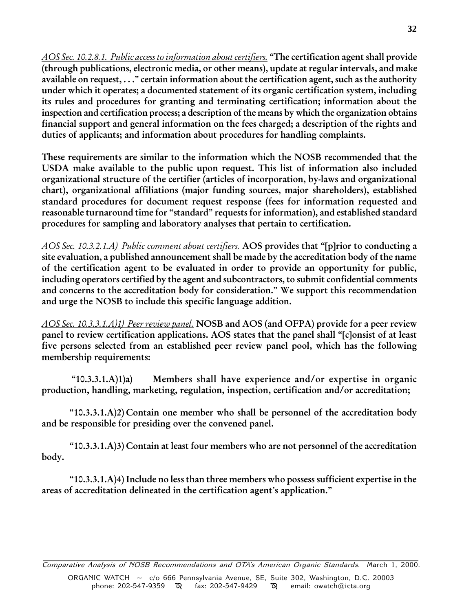AOS Sec. 10.2.8.1. Public access to information about certifiers. "The certification agent shall provide (through publications, electronic media, or other means), update at regular intervals, and make available on request,  $\dots$ " certain information about the certification agent, such as the authority under which it operates; a documented statement of its organic certification system, including its rules and procedures for granting and terminating certification; information about the inspection and certification process; a description of the means by which the organization obtains financial support and general information on the fees charged; a description of the rights and duties of applicants; and information about procedures for handling complaints.

These requirements are similar to the information which the NOSB recommended that the USDA make available to the public upon request. This list of information also included organizational structure of the certifier (articles of incorporation, by-laws and organizational chart), organizational affiliations (major funding sources, major shareholders), established standard procedures for document request response (fees for information requested and reasonable turnaround time for "standard" requests for information), and established standard procedures for sampling and laboratory analyses that pertain to certification.

AOS Sec. 10.3.2.1.A) Public comment about certifiers. AOS provides that "[p]rior to conducting a site evaluation, a published announcement shall be made by the accreditation body of the name of the certification agent to be evaluated in order to provide an opportunity for public, including operators certified by the agent and subcontractors, to submit confidential comments and concerns to the accreditation body for consideration." We support this recommendation and urge the NOSB to include this specific language addition.

AOS Sec. 10.3.3.1.A)1) Peer review panel. NOSB and AOS (and OFPA) provide for a peer review panel to review certification applications. AOS states that the panel shall "[c]onsist of at least five persons selected from an established peer review panel pool, which has the following membership requirements:

 10.3.3.1.A)1)a) Members shall have experience and/or expertise in organic production, handling, marketing, regulation, inspection, certification and/or accreditation;

10.3.3.1.A)2) Contain one member who shall be personnel of the accreditation body and be responsible for presiding over the convened panel.

 $(10.3.3.1.A)$ 3) Contain at least four members who are not personnel of the accreditation body.

" $10.3.3.1.A$ ) $4$ ) Include no less than three members who possess sufficient expertise in the areas of accreditation delineated in the certification agent's application."